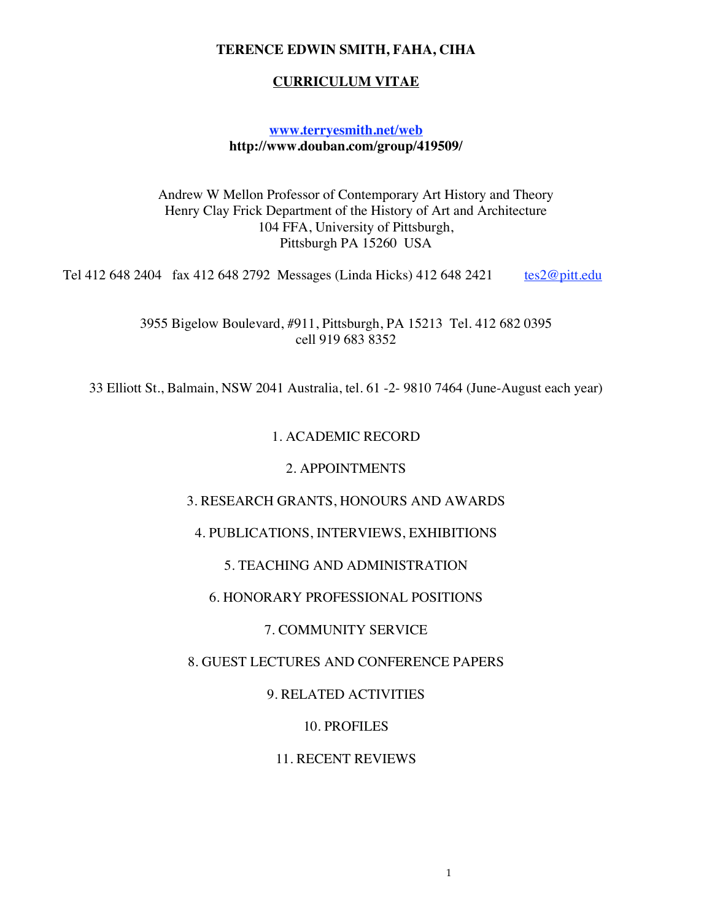#### **TERENCE EDWIN SMITH, FAHA, CIHA**

#### **CURRICULUM VITAE**

#### **www.terryesmith.net/web http://www.douban.com/group/419509/**

Andrew W Mellon Professor of Contemporary Art History and Theory Henry Clay Frick Department of the History of Art and Architecture 104 FFA, University of Pittsburgh, Pittsburgh PA 15260 USA

Tel 412 648 2404 fax 412 648 2792 Messages (Linda Hicks) 412 648 2421 tes2@pitt.edu

3955 Bigelow Boulevard, #911, Pittsburgh, PA 15213 Tel. 412 682 0395 cell 919 683 8352

33 Elliott St., Balmain, NSW 2041 Australia, tel. 61 -2- 9810 7464 (June-August each year)

#### 1. ACADEMIC RECORD

#### 2. APPOINTMENTS

#### 3. RESEARCH GRANTS, HONOURS AND AWARDS

#### 4. PUBLICATIONS, INTERVIEWS, EXHIBITIONS

#### 5. TEACHING AND ADMINISTRATION

#### 6. HONORARY PROFESSIONAL POSITIONS

#### 7. COMMUNITY SERVICE

#### 8. GUEST LECTURES AND CONFERENCE PAPERS

#### 9. RELATED ACTIVITIES

#### 10. PROFILES

#### 11. RECENT REVIEWS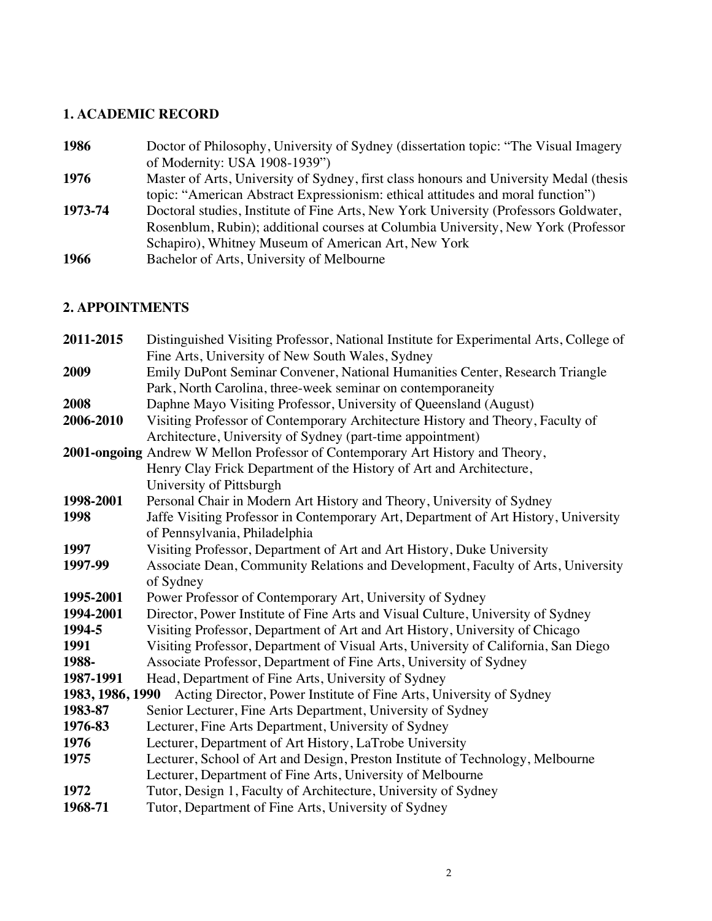# **1. ACADEMIC RECORD**

| 1986    | Doctor of Philosophy, University of Sydney (dissertation topic: "The Visual Imagery    |
|---------|----------------------------------------------------------------------------------------|
|         | of Modernity: USA 1908-1939")                                                          |
| 1976    | Master of Arts, University of Sydney, first class honours and University Medal (thesis |
|         | topic: "American Abstract Expressionism: ethical attitudes and moral function")        |
| 1973-74 | Doctoral studies, Institute of Fine Arts, New York University (Professors Goldwater,   |
|         | Rosenblum, Rubin); additional courses at Columbia University, New York (Professor      |
|         | Schapiro), Whitney Museum of American Art, New York                                    |
| 1966    | Bachelor of Arts, University of Melbourne                                              |
|         |                                                                                        |

# **2. APPOINTMENTS**

| 2011-2015        | Distinguished Visiting Professor, National Institute for Experimental Arts, College of |
|------------------|----------------------------------------------------------------------------------------|
|                  | Fine Arts, University of New South Wales, Sydney                                       |
| 2009             | Emily DuPont Seminar Convener, National Humanities Center, Research Triangle           |
|                  | Park, North Carolina, three-week seminar on contemporaneity                            |
| 2008             | Daphne Mayo Visiting Professor, University of Queensland (August)                      |
| 2006-2010        | Visiting Professor of Contemporary Architecture History and Theory, Faculty of         |
|                  | Architecture, University of Sydney (part-time appointment)                             |
|                  | 2001-ongoing Andrew W Mellon Professor of Contemporary Art History and Theory,         |
|                  | Henry Clay Frick Department of the History of Art and Architecture,                    |
|                  | University of Pittsburgh                                                               |
| 1998-2001        | Personal Chair in Modern Art History and Theory, University of Sydney                  |
| 1998             | Jaffe Visiting Professor in Contemporary Art, Department of Art History, University    |
|                  | of Pennsylvania, Philadelphia                                                          |
| 1997             | Visiting Professor, Department of Art and Art History, Duke University                 |
| 1997-99          | Associate Dean, Community Relations and Development, Faculty of Arts, University       |
|                  | of Sydney                                                                              |
| 1995-2001        | Power Professor of Contemporary Art, University of Sydney                              |
| 1994-2001        | Director, Power Institute of Fine Arts and Visual Culture, University of Sydney        |
| 1994-5           | Visiting Professor, Department of Art and Art History, University of Chicago           |
| 1991             | Visiting Professor, Department of Visual Arts, University of California, San Diego     |
| 1988-            | Associate Professor, Department of Fine Arts, University of Sydney                     |
| 1987-1991        | Head, Department of Fine Arts, University of Sydney                                    |
| 1983, 1986, 1990 | Acting Director, Power Institute of Fine Arts, University of Sydney                    |
| 1983-87          | Senior Lecturer, Fine Arts Department, University of Sydney                            |
| 1976-83          | Lecturer, Fine Arts Department, University of Sydney                                   |
| 1976             | Lecturer, Department of Art History, LaTrobe University                                |
| 1975             | Lecturer, School of Art and Design, Preston Institute of Technology, Melbourne         |
|                  | Lecturer, Department of Fine Arts, University of Melbourne                             |
| 1972             | Tutor, Design 1, Faculty of Architecture, University of Sydney                         |
| 1968-71          | Tutor, Department of Fine Arts, University of Sydney                                   |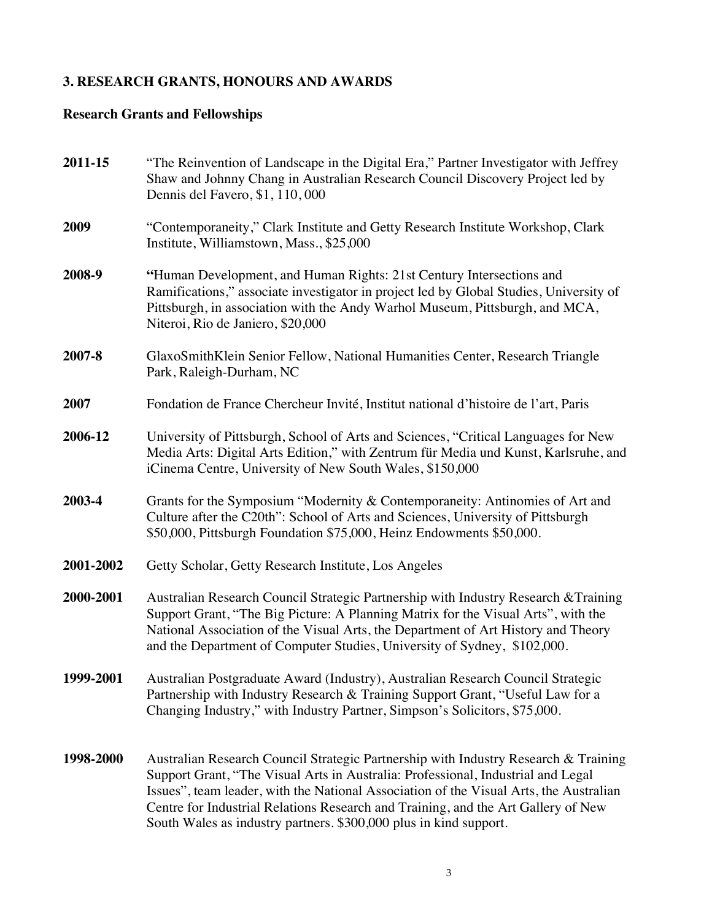# **3. RESEARCH GRANTS, HONOURS AND AWARDS**

# **Research Grants and Fellowships**

| 2011-15   | "The Reinvention of Landscape in the Digital Era," Partner Investigator with Jeffrey<br>Shaw and Johnny Chang in Australian Research Council Discovery Project led by<br>Dennis del Favero, \$1, 110, 000                                                                                                                                                                                                                   |
|-----------|-----------------------------------------------------------------------------------------------------------------------------------------------------------------------------------------------------------------------------------------------------------------------------------------------------------------------------------------------------------------------------------------------------------------------------|
| 2009      | "Contemporaneity," Clark Institute and Getty Research Institute Workshop, Clark<br>Institute, Williamstown, Mass., \$25,000                                                                                                                                                                                                                                                                                                 |
| 2008-9    | "Human Development, and Human Rights: 21st Century Intersections and<br>Ramifications," associate investigator in project led by Global Studies, University of<br>Pittsburgh, in association with the Andy Warhol Museum, Pittsburgh, and MCA,<br>Niteroi, Rio de Janiero, \$20,000                                                                                                                                         |
| 2007-8    | GlaxoSmithKlein Senior Fellow, National Humanities Center, Research Triangle<br>Park, Raleigh-Durham, NC                                                                                                                                                                                                                                                                                                                    |
| 2007      | Fondation de France Chercheur Invité, Institut national d'histoire de l'art, Paris                                                                                                                                                                                                                                                                                                                                          |
| 2006-12   | University of Pittsburgh, School of Arts and Sciences, "Critical Languages for New<br>Media Arts: Digital Arts Edition," with Zentrum für Media und Kunst, Karlsruhe, and<br>iCinema Centre, University of New South Wales, \$150,000                                                                                                                                                                                       |
| 2003-4    | Grants for the Symposium "Modernity & Contemporaneity: Antinomies of Art and<br>Culture after the C20th": School of Arts and Sciences, University of Pittsburgh<br>\$50,000, Pittsburgh Foundation \$75,000, Heinz Endowments \$50,000.                                                                                                                                                                                     |
| 2001-2002 | Getty Scholar, Getty Research Institute, Los Angeles                                                                                                                                                                                                                                                                                                                                                                        |
| 2000-2001 | Australian Research Council Strategic Partnership with Industry Research & Training<br>Support Grant, "The Big Picture: A Planning Matrix for the Visual Arts", with the<br>National Association of the Visual Arts, the Department of Art History and Theory<br>and the Department of Computer Studies, University of Sydney, \$102,000.                                                                                   |
| 1999-2001 | Australian Postgraduate Award (Industry), Australian Research Council Strategic<br>Partnership with Industry Research & Training Support Grant, "Useful Law for a<br>Changing Industry," with Industry Partner, Simpson's Solicitors, \$75,000.                                                                                                                                                                             |
| 1998-2000 | Australian Research Council Strategic Partnership with Industry Research & Training<br>Support Grant, "The Visual Arts in Australia: Professional, Industrial and Legal<br>Issues", team leader, with the National Association of the Visual Arts, the Australian<br>Centre for Industrial Relations Research and Training, and the Art Gallery of New<br>South Wales as industry partners. \$300,000 plus in kind support. |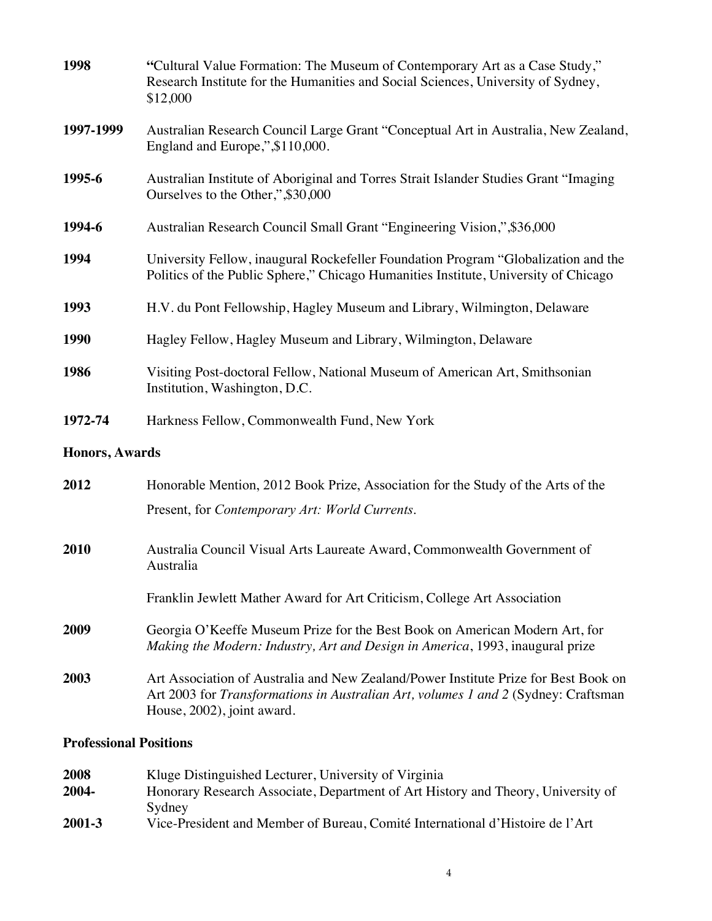| 1998           | "Cultural Value Formation: The Museum of Contemporary Art as a Case Study,"<br>Research Institute for the Humanities and Social Sciences, University of Sydney,<br>\$12,000                             |
|----------------|---------------------------------------------------------------------------------------------------------------------------------------------------------------------------------------------------------|
| 1997-1999      | Australian Research Council Large Grant "Conceptual Art in Australia, New Zealand,<br>England and Europe,",\$110,000.                                                                                   |
| 1995-6         | Australian Institute of Aboriginal and Torres Strait Islander Studies Grant "Imaging<br>Ourselves to the Other,",\$30,000                                                                               |
| 1994-6         | Australian Research Council Small Grant "Engineering Vision,",\$36,000                                                                                                                                  |
| 1994           | University Fellow, inaugural Rockefeller Foundation Program "Globalization and the<br>Politics of the Public Sphere," Chicago Humanities Institute, University of Chicago                               |
| 1993           | H.V. du Pont Fellowship, Hagley Museum and Library, Wilmington, Delaware                                                                                                                                |
| <b>1990</b>    | Hagley Fellow, Hagley Museum and Library, Wilmington, Delaware                                                                                                                                          |
| 1986           | Visiting Post-doctoral Fellow, National Museum of American Art, Smithsonian<br>Institution, Washington, D.C.                                                                                            |
| 1972-74        | Harkness Fellow, Commonwealth Fund, New York                                                                                                                                                            |
| Honors, Awards |                                                                                                                                                                                                         |
| 2012           | Honorable Mention, 2012 Book Prize, Association for the Study of the Arts of the                                                                                                                        |
|                | Present, for Contemporary Art: World Currents.                                                                                                                                                          |
| 2010           | Australia Council Visual Arts Laureate Award, Commonwealth Government of<br>Australia                                                                                                                   |
|                | Franklin Jewlett Mather Award for Art Criticism, College Art Association                                                                                                                                |
| 2009           | Georgia O'Keeffe Museum Prize for the Best Book on American Modern Art, for<br>Making the Modern: Industry, Art and Design in America, 1993, inaugural prize                                            |
| 2003           | Art Association of Australia and New Zealand/Power Institute Prize for Best Book on<br>Art 2003 for Transformations in Australian Art, volumes 1 and 2 (Sydney: Craftsman<br>House, 2002), joint award. |

# **Professional Positions**

| 2008   | Kluge Distinguished Lecturer, University of Virginia                             |
|--------|----------------------------------------------------------------------------------|
| 2004-  | Honorary Research Associate, Department of Art History and Theory, University of |
|        | Sydney                                                                           |
| 2001-3 | Vice-President and Member of Bureau, Comité International d'Histoire de l'Art    |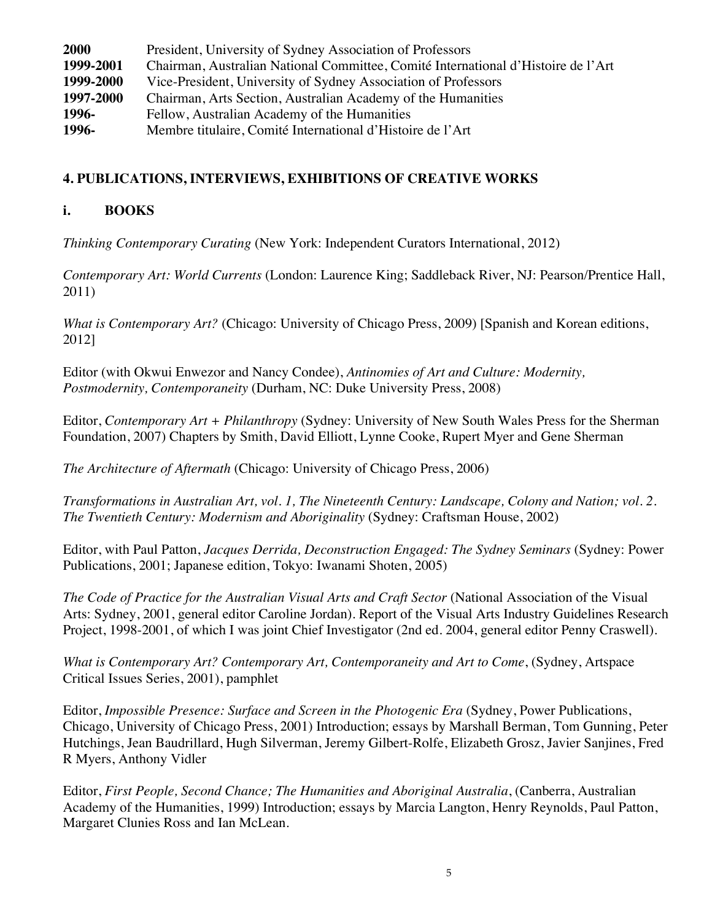| 2000      | President, University of Sydney Association of Professors                         |
|-----------|-----------------------------------------------------------------------------------|
| 1999-2001 | Chairman, Australian National Committee, Comité International d'Histoire de l'Art |
| 1999-2000 | Vice-President, University of Sydney Association of Professors                    |
| 1997-2000 | Chairman, Arts Section, Australian Academy of the Humanities                      |
| 1996-     | Fellow, Australian Academy of the Humanities                                      |
| 1996-     | Membre titulaire, Comité International d'Histoire de l'Art                        |

## **4. PUBLICATIONS, INTERVIEWS, EXHIBITIONS OF CREATIVE WORKS**

## **i. BOOKS**

*Thinking Contemporary Curating* (New York: Independent Curators International, 2012)

*Contemporary Art: World Currents* (London: Laurence King; Saddleback River, NJ: Pearson/Prentice Hall, 2011)

*What is Contemporary Art?* (Chicago: University of Chicago Press, 2009) [Spanish and Korean editions, 2012]

Editor (with Okwui Enwezor and Nancy Condee), *Antinomies of Art and Culture: Modernity, Postmodernity, Contemporaneity* (Durham, NC: Duke University Press, 2008)

Editor, *Contemporary Art + Philanthropy* (Sydney: University of New South Wales Press for the Sherman Foundation, 2007) Chapters by Smith, David Elliott, Lynne Cooke, Rupert Myer and Gene Sherman

*The Architecture of Aftermath* (Chicago: University of Chicago Press, 2006)

*Transformations in Australian Art, vol. 1, The Nineteenth Century: Landscape, Colony and Nation; vol. 2. The Twentieth Century: Modernism and Aboriginality* (Sydney: Craftsman House, 2002)

Editor, with Paul Patton, *Jacques Derrida, Deconstruction Engaged: The Sydney Seminars* (Sydney: Power Publications, 2001; Japanese edition, Tokyo: Iwanami Shoten, 2005)

*The Code of Practice for the Australian Visual Arts and Craft Sector* (National Association of the Visual Arts: Sydney, 2001, general editor Caroline Jordan). Report of the Visual Arts Industry Guidelines Research Project, 1998-2001, of which I was joint Chief Investigator (2nd ed. 2004, general editor Penny Craswell).

*What is Contemporary Art? Contemporary Art, Contemporaneity and Art to Come*, (Sydney, Artspace Critical Issues Series, 2001), pamphlet

Editor, *Impossible Presence: Surface and Screen in the Photogenic Era* (Sydney, Power Publications, Chicago, University of Chicago Press, 2001) Introduction; essays by Marshall Berman, Tom Gunning, Peter Hutchings, Jean Baudrillard, Hugh Silverman, Jeremy Gilbert-Rolfe, Elizabeth Grosz, Javier Sanjines, Fred R Myers, Anthony Vidler

Editor, *First People, Second Chance; The Humanities and Aboriginal Australia*, (Canberra, Australian Academy of the Humanities, 1999) Introduction; essays by Marcia Langton, Henry Reynolds, Paul Patton, Margaret Clunies Ross and Ian McLean.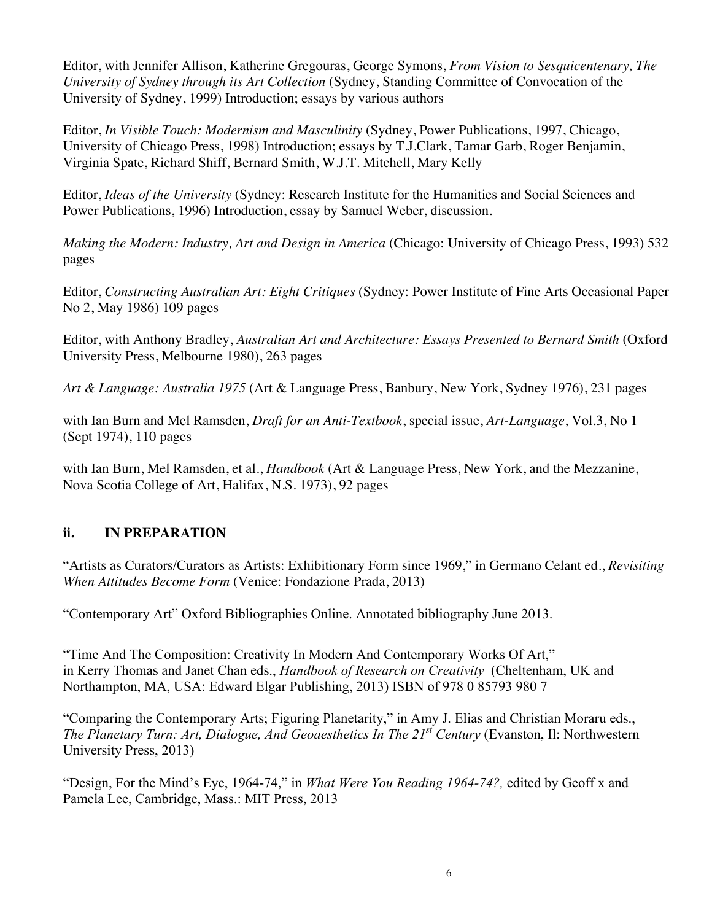Editor, with Jennifer Allison, Katherine Gregouras, George Symons, *From Vision to Sesquicentenary, The University of Sydney through its Art Collection* (Sydney, Standing Committee of Convocation of the University of Sydney, 1999) Introduction; essays by various authors

Editor, *In Visible Touch: Modernism and Masculinity* (Sydney, Power Publications, 1997, Chicago, University of Chicago Press, 1998) Introduction; essays by T.J.Clark, Tamar Garb, Roger Benjamin, Virginia Spate, Richard Shiff, Bernard Smith, W.J.T. Mitchell, Mary Kelly

Editor, *Ideas of the University* (Sydney: Research Institute for the Humanities and Social Sciences and Power Publications, 1996) Introduction, essay by Samuel Weber, discussion.

*Making the Modern: Industry, Art and Design in America* (Chicago: University of Chicago Press, 1993) 532 pages

Editor, *Constructing Australian Art: Eight Critiques* (Sydney: Power Institute of Fine Arts Occasional Paper No 2, May 1986) 109 pages

Editor, with Anthony Bradley, *Australian Art and Architecture: Essays Presented to Bernard Smith* (Oxford University Press, Melbourne 1980), 263 pages

*Art & Language: Australia 1975* (Art & Language Press, Banbury, New York, Sydney 1976), 231 pages

with Ian Burn and Mel Ramsden, *Draft for an Anti-Textbook*, special issue, *Art-Language*, Vol.3, No 1 (Sept 1974), 110 pages

with Ian Burn, Mel Ramsden, et al., *Handbook* (Art & Language Press, New York, and the Mezzanine, Nova Scotia College of Art, Halifax, N.S. 1973), 92 pages

## **ii. IN PREPARATION**

"Artists as Curators/Curators as Artists: Exhibitionary Form since 1969," in Germano Celant ed., *Revisiting When Attitudes Become Form* (Venice: Fondazione Prada, 2013)

"Contemporary Art" Oxford Bibliographies Online. Annotated bibliography June 2013.

"Time And The Composition: Creativity In Modern And Contemporary Works Of Art," in Kerry Thomas and Janet Chan eds., *Handbook of Research on Creativity* (Cheltenham, UK and Northampton, MA, USA: Edward Elgar Publishing, 2013) ISBN of 978 0 85793 980 7

"Comparing the Contemporary Arts; Figuring Planetarity," in Amy J. Elias and Christian Moraru eds., *The Planetary Turn: Art, Dialogue, And Geoaesthetics In The 21st Century* (Evanston, Il: Northwestern University Press, 2013)

"Design, For the Mind's Eye, 1964-74," in *What Were You Reading 1964-74?,* edited by Geoff x and Pamela Lee, Cambridge, Mass.: MIT Press, 2013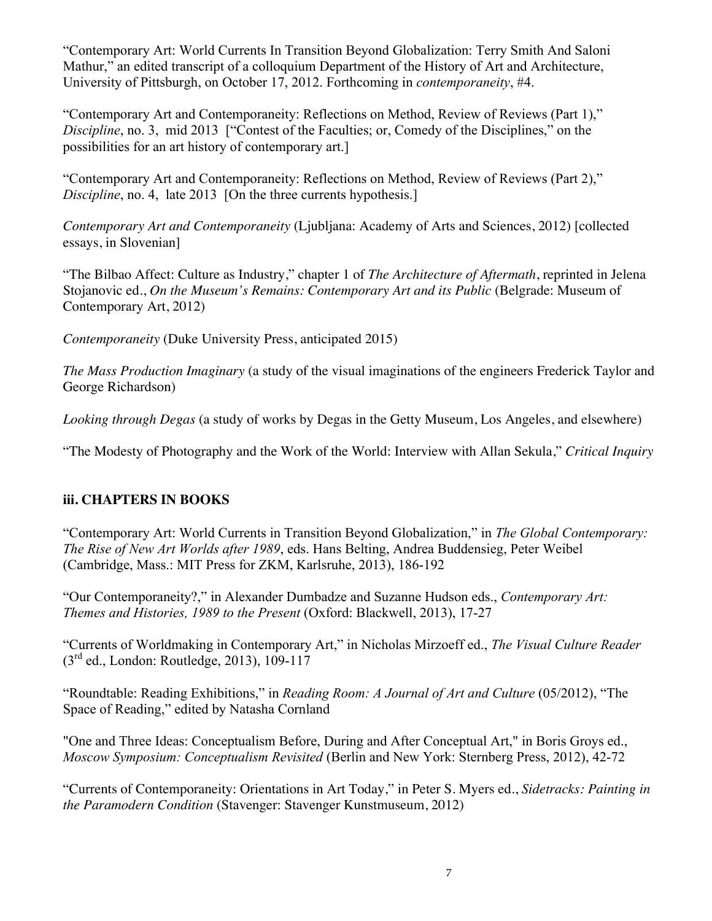"Contemporary Art: World Currents In Transition Beyond Globalization: Terry Smith And Saloni Mathur," an edited transcript of a colloquium Department of the History of Art and Architecture, University of Pittsburgh, on October 17, 2012. Forthcoming in *contemporaneity*, #4.

"Contemporary Art and Contemporaneity: Reflections on Method, Review of Reviews (Part 1)," *Discipline*, no. 3, mid 2013 ["Contest of the Faculties; or, Comedy of the Disciplines," on the possibilities for an art history of contemporary art.]

"Contemporary Art and Contemporaneity: Reflections on Method, Review of Reviews (Part 2)," *Discipline*, no. 4, late 2013 [On the three currents hypothesis.]

*Contemporary Art and Contemporaneity* (Ljubljana: Academy of Arts and Sciences, 2012) [collected essays, in Slovenian]

"The Bilbao Affect: Culture as Industry," chapter 1 of *The Architecture of Aftermath*, reprinted in Jelena Stojanovic ed., *On the Museum's Remains: Contemporary Art and its Public* (Belgrade: Museum of Contemporary Art, 2012)

*Contemporaneity* (Duke University Press, anticipated 2015)

*The Mass Production Imaginary* (a study of the visual imaginations of the engineers Frederick Taylor and George Richardson)

*Looking through Degas* (a study of works by Degas in the Getty Museum, Los Angeles, and elsewhere)

"The Modesty of Photography and the Work of the World: Interview with Allan Sekula," *Critical Inquiry*

# **iii. CHAPTERS IN BOOKS**

"Contemporary Art: World Currents in Transition Beyond Globalization," in *The Global Contemporary: The Rise of New Art Worlds after 1989*, eds. Hans Belting, Andrea Buddensieg, Peter Weibel (Cambridge, Mass.: MIT Press for ZKM, Karlsruhe, 2013), 186-192

"Our Contemporaneity?," in Alexander Dumbadze and Suzanne Hudson eds., *Contemporary Art: Themes and Histories, 1989 to the Present* (Oxford: Blackwell, 2013), 17-27

"Currents of Worldmaking in Contemporary Art," in Nicholas Mirzoeff ed., *The Visual Culture Reader*  $(3^{rd}$  ed., London: Routledge, 2013), 109-117

"Roundtable: Reading Exhibitions," in *Reading Room: A Journal of Art and Culture* (05/2012), "The Space of Reading," edited by Natasha Cornland

"One and Three Ideas: Conceptualism Before, During and After Conceptual Art," in Boris Groys ed., *Moscow Symposium: Conceptualism Revisited* (Berlin and New York: Sternberg Press, 2012), 42-72

"Currents of Contemporaneity: Orientations in Art Today," in Peter S. Myers ed., *Sidetracks: Painting in the Paramodern Condition* (Stavenger: Stavenger Kunstmuseum, 2012)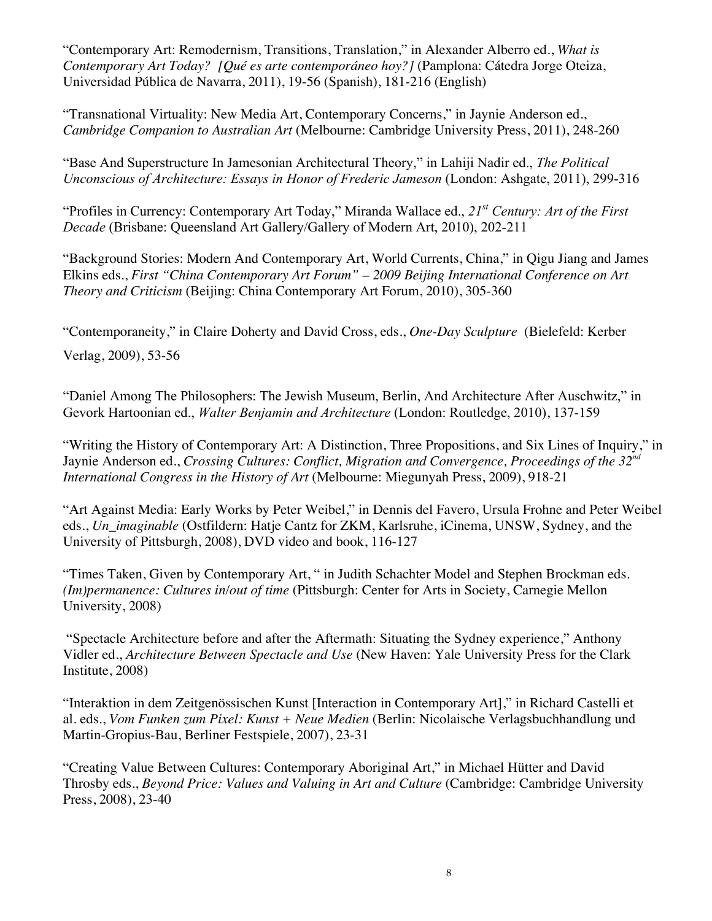"Contemporary Art: Remodernism, Transitions, Translation," in Alexander Alberro ed., *What is Contemporary Art Today? [Qué es arte contemporáneo hoy?]* (Pamplona: Cátedra Jorge Oteiza, Universidad Pública de Navarra, 2011), 19-56 (Spanish), 181-216 (English)

"Transnational Virtuality: New Media Art, Contemporary Concerns," in Jaynie Anderson ed., *Cambridge Companion to Australian Art* (Melbourne: Cambridge University Press, 2011), 248-260

"Base And Superstructure In Jamesonian Architectural Theory," in Lahiji Nadir ed., *The Political Unconscious of Architecture: Essays in Honor of Frederic Jameson* (London: Ashgate, 2011), 299-316

"Profiles in Currency: Contemporary Art Today," Miranda Wallace ed., *21st Century: Art of the First Decade* (Brisbane: Queensland Art Gallery/Gallery of Modern Art, 2010), 202-211

"Background Stories: Modern And Contemporary Art, World Currents, China," in Qigu Jiang and James Elkins eds., *First "China Contemporary Art Forum" – 2009 Beijing International Conference on Art Theory and Criticism* (Beijing: China Contemporary Art Forum, 2010), 305-360

"Contemporaneity," in Claire Doherty and David Cross, eds., *One-Day Sculpture* (Bielefeld: Kerber

Verlag, 2009), 53-56

"Daniel Among The Philosophers: The Jewish Museum, Berlin, And Architecture After Auschwitz," in Gevork Hartoonian ed., *Walter Benjamin and Architecture* (London: Routledge, 2010), 137-159

"Writing the History of Contemporary Art: A Distinction, Three Propositions, and Six Lines of Inquiry," in Jaynie Anderson ed., *Crossing Cultures: Conflict, Migration and Convergence, Proceedings of the 32<sup>nd</sup> International Congress in the History of Art* (Melbourne: Miegunyah Press, 2009), 918-21

"Art Against Media: Early Works by Peter Weibel," in Dennis del Favero, Ursula Frohne and Peter Weibel eds., *Un\_imaginable* (Ostfildern: Hatje Cantz for ZKM, Karlsruhe, iCinema, UNSW, Sydney, and the University of Pittsburgh, 2008), DVD video and book, 116-127

"Times Taken, Given by Contemporary Art, " in Judith Schachter Model and Stephen Brockman eds. *(Im)permanence: Cultures in/out of time* (Pittsburgh: Center for Arts in Society, Carnegie Mellon University, 2008)

 "Spectacle Architecture before and after the Aftermath: Situating the Sydney experience," Anthony Vidler ed., *Architecture Between Spectacle and Use* (New Haven: Yale University Press for the Clark Institute, 2008)

"Interaktion in dem Zeitgenössischen Kunst [Interaction in Contemporary Art]," in Richard Castelli et al. eds., *Vom Funken zum Pixel: Kunst + Neue Medien* (Berlin: Nicolaische Verlagsbuchhandlung und Martin-Gropius-Bau, Berliner Festspiele, 2007), 23-31

"Creating Value Between Cultures: Contemporary Aboriginal Art," in Michael Hütter and David Throsby eds., *Beyond Price: Values and Valuing in Art and Culture* (Cambridge: Cambridge University Press, 2008), 23-40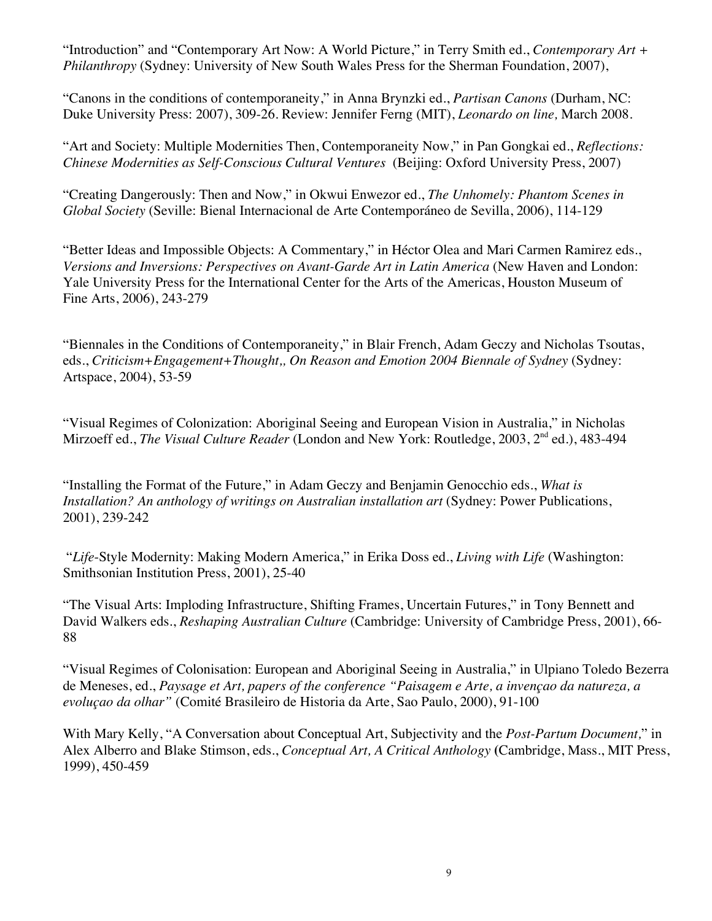"Introduction" and "Contemporary Art Now: A World Picture," in Terry Smith ed., *Contemporary Art + Philanthropy* (Sydney: University of New South Wales Press for the Sherman Foundation, 2007),

"Canons in the conditions of contemporaneity," in Anna Brynzki ed., *Partisan Canons* (Durham, NC: Duke University Press: 2007), 309-26. Review: Jennifer Ferng (MIT), *Leonardo on line,* March 2008.

"Art and Society: Multiple Modernities Then, Contemporaneity Now," in Pan Gongkai ed., *Reflections: Chinese Modernities as Self-Conscious Cultural Ventures* (Beijing: Oxford University Press, 2007)

"Creating Dangerously: Then and Now," in Okwui Enwezor ed., *The Unhomely: Phantom Scenes in Global Society* (Seville: Bienal Internacional de Arte Contemporáneo de Sevilla, 2006), 114-129

"Better Ideas and Impossible Objects: A Commentary," in Héctor Olea and Mari Carmen Ramirez eds., *Versions and Inversions: Perspectives on Avant-Garde Art in Latin America* (New Haven and London: Yale University Press for the International Center for the Arts of the Americas, Houston Museum of Fine Arts, 2006), 243-279

"Biennales in the Conditions of Contemporaneity," in Blair French, Adam Geczy and Nicholas Tsoutas, eds., *Criticism+Engagement+Thought,, On Reason and Emotion 2004 Biennale of Sydney* (Sydney: Artspace, 2004), 53-59

"Visual Regimes of Colonization: Aboriginal Seeing and European Vision in Australia," in Nicholas Mirzoeff ed., *The Visual Culture Reader* (London and New York: Routledge, 2003, 2nd ed.), 483-494

"Installing the Format of the Future," in Adam Geczy and Benjamin Genocchio eds., *What is Installation? An anthology of writings on Australian installation art* (Sydney: Power Publications, 2001), 239-242

 "*Life*-Style Modernity: Making Modern America," in Erika Doss ed., *Living with Life* (Washington: Smithsonian Institution Press, 2001), 25-40

"The Visual Arts: Imploding Infrastructure, Shifting Frames, Uncertain Futures," in Tony Bennett and David Walkers eds., *Reshaping Australian Culture* (Cambridge: University of Cambridge Press, 2001), 66- 88

"Visual Regimes of Colonisation: European and Aboriginal Seeing in Australia," in Ulpiano Toledo Bezerra de Meneses, ed., *Paysage et Art, papers of the conference "Paisagem e Arte, a invençao da natureza, a evoluçao da olhar"* (Comité Brasileiro de Historia da Arte, Sao Paulo, 2000), 91-100

With Mary Kelly, "A Conversation about Conceptual Art, Subjectivity and the *Post-Partum Document,*" in Alex Alberro and Blake Stimson, eds., *Conceptual Art, A Critical Anthology* **(**Cambridge, Mass., MIT Press, 1999), 450-459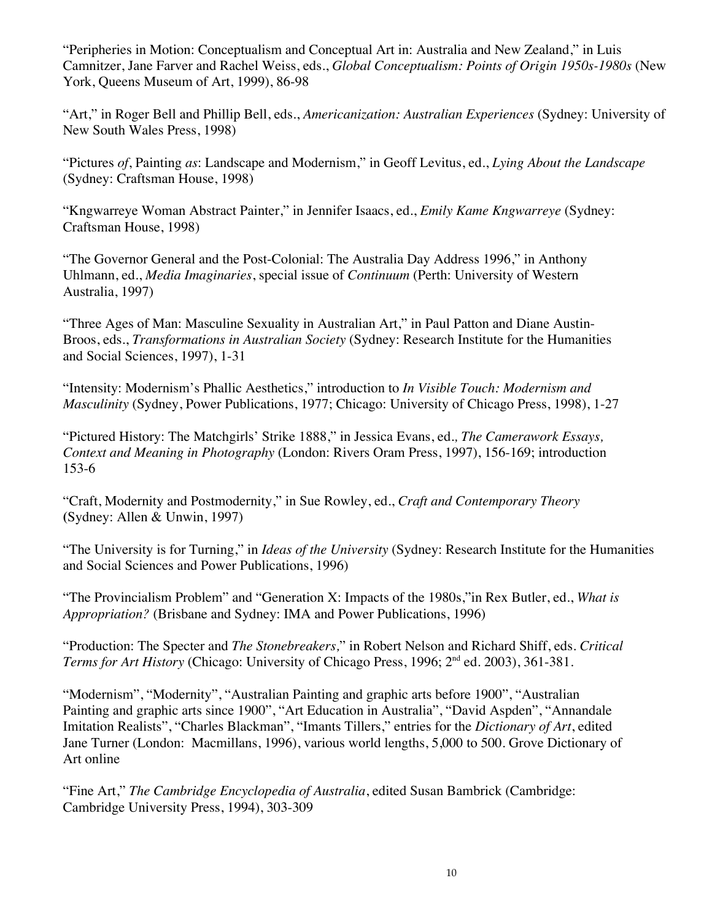"Peripheries in Motion: Conceptualism and Conceptual Art in: Australia and New Zealand," in Luis Camnitzer, Jane Farver and Rachel Weiss, eds., *Global Conceptualism: Points of Origin 1950s-1980s* (New York, Queens Museum of Art, 1999), 86-98

"Art," in Roger Bell and Phillip Bell, eds., *Americanization: Australian Experiences* (Sydney: University of New South Wales Press, 1998)

"Pictures *of*, Painting *as*: Landscape and Modernism," in Geoff Levitus, ed., *Lying About the Landscape* (Sydney: Craftsman House, 1998)

"Kngwarreye Woman Abstract Painter," in Jennifer Isaacs, ed., *Emily Kame Kngwarreye* (Sydney: Craftsman House, 1998)

"The Governor General and the Post-Colonial: The Australia Day Address 1996," in Anthony Uhlmann, ed., *Media Imaginaries*, special issue of *Continuum* (Perth: University of Western Australia, 1997)

"Three Ages of Man: Masculine Sexuality in Australian Art," in Paul Patton and Diane Austin-Broos, eds., *Transformations in Australian Society* (Sydney: Research Institute for the Humanities and Social Sciences, 1997), 1-31

"Intensity: Modernism's Phallic Aesthetics," introduction to *In Visible Touch: Modernism and Masculinity* (Sydney, Power Publications, 1977; Chicago: University of Chicago Press, 1998), 1-27

"Pictured History: The Matchgirls' Strike 1888," in Jessica Evans, ed*., The Camerawork Essays, Context and Meaning in Photography* (London: Rivers Oram Press, 1997), 156-169; introduction 153-6

"Craft, Modernity and Postmodernity," in Sue Rowley, ed., *Craft and Contemporary Theory* **(**Sydney: Allen & Unwin, 1997)

"The University is for Turning," in *Ideas of the University* (Sydney: Research Institute for the Humanities and Social Sciences and Power Publications, 1996)

"The Provincialism Problem" and "Generation X: Impacts of the 1980s,"in Rex Butler, ed., *What is Appropriation?* (Brisbane and Sydney: IMA and Power Publications, 1996)

"Production: The Specter and *The Stonebreakers,*" in Robert Nelson and Richard Shiff, eds. *Critical Terms for Art History* (Chicago: University of Chicago Press, 1996; 2<sup>nd</sup> ed. 2003), 361-381.

"Modernism", "Modernity", "Australian Painting and graphic arts before 1900", "Australian Painting and graphic arts since 1900", "Art Education in Australia", "David Aspden", "Annandale Imitation Realists", "Charles Blackman", "Imants Tillers," entries for the *Dictionary of Art*, edited Jane Turner (London: Macmillans, 1996), various world lengths, 5,000 to 500. Grove Dictionary of Art online

"Fine Art," *The Cambridge Encyclopedia of Australia*, edited Susan Bambrick (Cambridge: Cambridge University Press, 1994), 303-309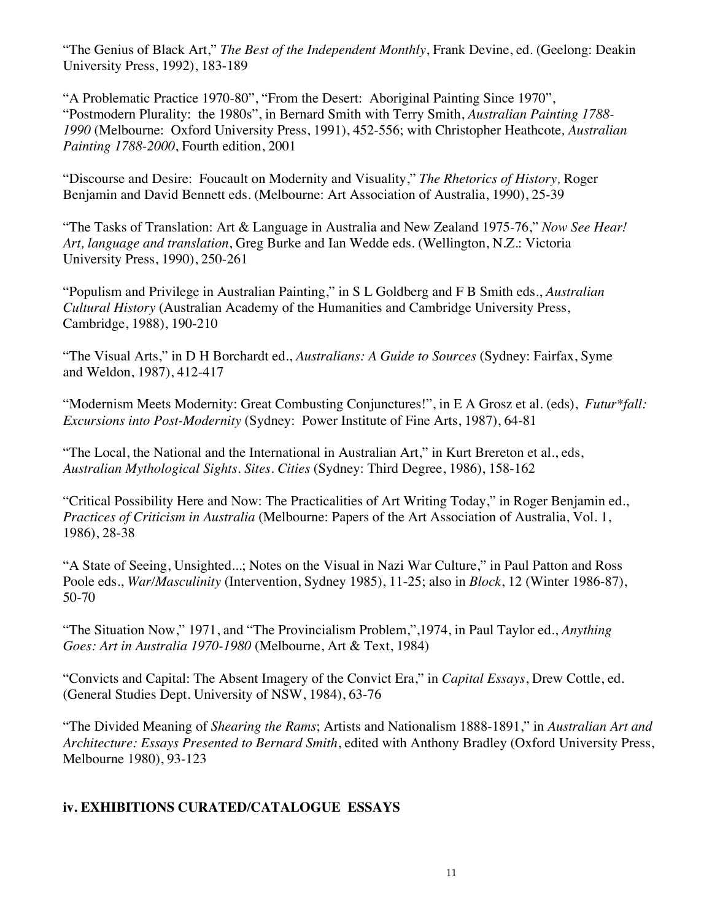"The Genius of Black Art," *The Best of the Independent Monthly*, Frank Devine, ed. (Geelong: Deakin University Press, 1992), 183-189

"A Problematic Practice 1970-80", "From the Desert: Aboriginal Painting Since 1970", "Postmodern Plurality: the 1980s", in Bernard Smith with Terry Smith, *Australian Painting 1788- 1990* (Melbourne: Oxford University Press, 1991), 452-556; with Christopher Heathcote*, Australian Painting 1788-2000*, Fourth edition, 2001

"Discourse and Desire: Foucault on Modernity and Visuality," *The Rhetorics of History,* Roger Benjamin and David Bennett eds. (Melbourne: Art Association of Australia, 1990), 25-39

"The Tasks of Translation: Art & Language in Australia and New Zealand 1975-76," *Now See Hear! Art, language and translation*, Greg Burke and Ian Wedde eds. (Wellington, N.Z.: Victoria University Press, 1990), 250-261

"Populism and Privilege in Australian Painting," in S L Goldberg and F B Smith eds., *Australian Cultural History* (Australian Academy of the Humanities and Cambridge University Press, Cambridge, 1988), 190-210

"The Visual Arts," in D H Borchardt ed., *Australians: A Guide to Sources* (Sydney: Fairfax, Syme and Weldon, 1987), 412-417

"Modernism Meets Modernity: Great Combusting Conjunctures!", in E A Grosz et al. (eds), *Futur\*fall: Excursions into Post-Modernity* (Sydney: Power Institute of Fine Arts, 1987), 64-81

"The Local, the National and the International in Australian Art," in Kurt Brereton et al., eds, *Australian Mythological Sights. Sites. Cities* (Sydney: Third Degree, 1986), 158-162

"Critical Possibility Here and Now: The Practicalities of Art Writing Today," in Roger Benjamin ed., *Practices of Criticism in Australia* (Melbourne: Papers of the Art Association of Australia, Vol. 1, 1986), 28-38

"A State of Seeing, Unsighted...; Notes on the Visual in Nazi War Culture," in Paul Patton and Ross Poole eds., *War/Masculinity* (Intervention, Sydney 1985), 11-25; also in *Block*, 12 (Winter 1986-87), 50-70

"The Situation Now," 1971, and "The Provincialism Problem,",1974, in Paul Taylor ed., *Anything Goes: Art in Australia 1970-1980* (Melbourne, Art & Text, 1984)

"Convicts and Capital: The Absent Imagery of the Convict Era," in *Capital Essays*, Drew Cottle, ed. (General Studies Dept. University of NSW, 1984), 63-76

"The Divided Meaning of *Shearing the Rams*; Artists and Nationalism 1888-1891," in *Australian Art and Architecture: Essays Presented to Bernard Smith*, edited with Anthony Bradley (Oxford University Press, Melbourne 1980), 93-123

## **iv. EXHIBITIONS CURATED/CATALOGUE ESSAYS**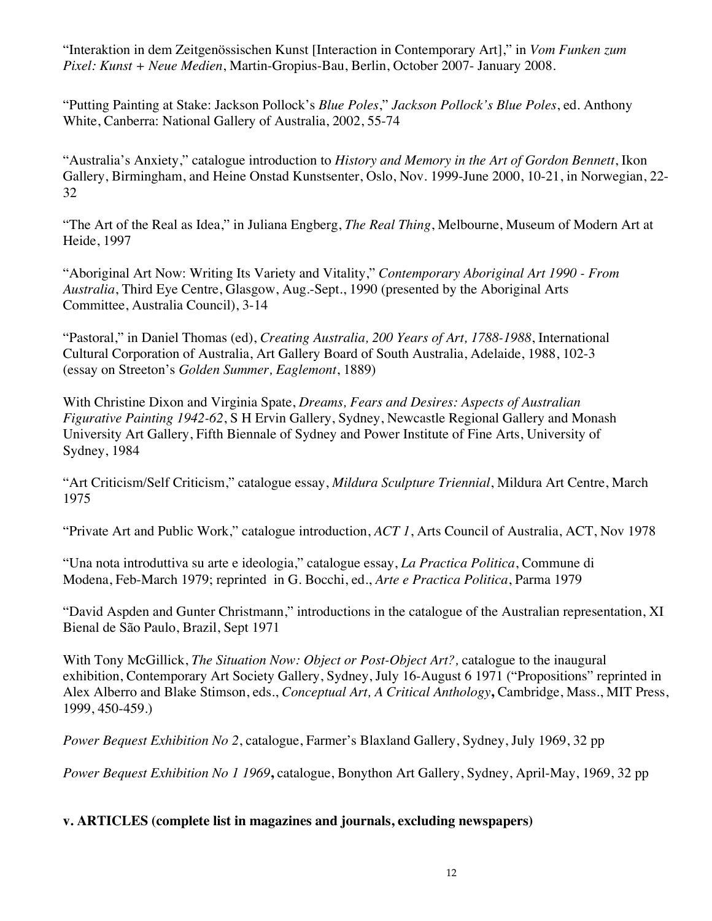"Interaktion in dem Zeitgenössischen Kunst [Interaction in Contemporary Art]," in *Vom Funken zum Pixel: Kunst + Neue Medien*, Martin-Gropius-Bau, Berlin, October 2007- January 2008.

"Putting Painting at Stake: Jackson Pollock's *Blue Poles*," *Jackson Pollock's Blue Poles*, ed. Anthony White, Canberra: National Gallery of Australia, 2002, 55-74

"Australia's Anxiety," catalogue introduction to *History and Memory in the Art of Gordon Bennett*, Ikon Gallery, Birmingham, and Heine Onstad Kunstsenter, Oslo, Nov. 1999-June 2000, 10-21, in Norwegian, 22- 32

"The Art of the Real as Idea," in Juliana Engberg, *The Real Thing*, Melbourne, Museum of Modern Art at Heide, 1997

"Aboriginal Art Now: Writing Its Variety and Vitality," *Contemporary Aboriginal Art 1990 - From Australia*, Third Eye Centre, Glasgow, Aug.-Sept., 1990 (presented by the Aboriginal Arts Committee, Australia Council), 3-14

"Pastoral," in Daniel Thomas (ed), *Creating Australia, 200 Years of Art, 1788-1988*, International Cultural Corporation of Australia, Art Gallery Board of South Australia, Adelaide, 1988, 102-3 (essay on Streeton's *Golden Summer, Eaglemont*, 1889)

With Christine Dixon and Virginia Spate, *Dreams, Fears and Desires: Aspects of Australian Figurative Painting 1942-62*, S H Ervin Gallery, Sydney, Newcastle Regional Gallery and Monash University Art Gallery, Fifth Biennale of Sydney and Power Institute of Fine Arts, University of Sydney, 1984

"Art Criticism/Self Criticism," catalogue essay, *Mildura Sculpture Triennial*, Mildura Art Centre, March 1975

"Private Art and Public Work," catalogue introduction, *ACT 1*, Arts Council of Australia, ACT, Nov 1978

"Una nota introduttiva su arte e ideologia," catalogue essay, *La Practica Politica*, Commune di Modena, Feb-March 1979; reprinted in G. Bocchi, ed., *Arte e Practica Politica*, Parma 1979

"David Aspden and Gunter Christmann," introductions in the catalogue of the Australian representation, XI Bienal de São Paulo, Brazil, Sept 1971

With Tony McGillick, *The Situation Now: Object or Post-Object Art?,* catalogue to the inaugural exhibition, Contemporary Art Society Gallery, Sydney, July 16-August 6 1971 ("Propositions" reprinted in Alex Alberro and Blake Stimson, eds., *Conceptual Art, A Critical Anthology***,** Cambridge, Mass., MIT Press, 1999, 450-459.)

*Power Bequest Exhibition No 2*, catalogue, Farmer's Blaxland Gallery, Sydney, July 1969, 32 pp

*Power Bequest Exhibition No 1 1969***,** catalogue, Bonython Art Gallery, Sydney, April-May, 1969, 32 pp

## **v. ARTICLES (complete list in magazines and journals, excluding newspapers)**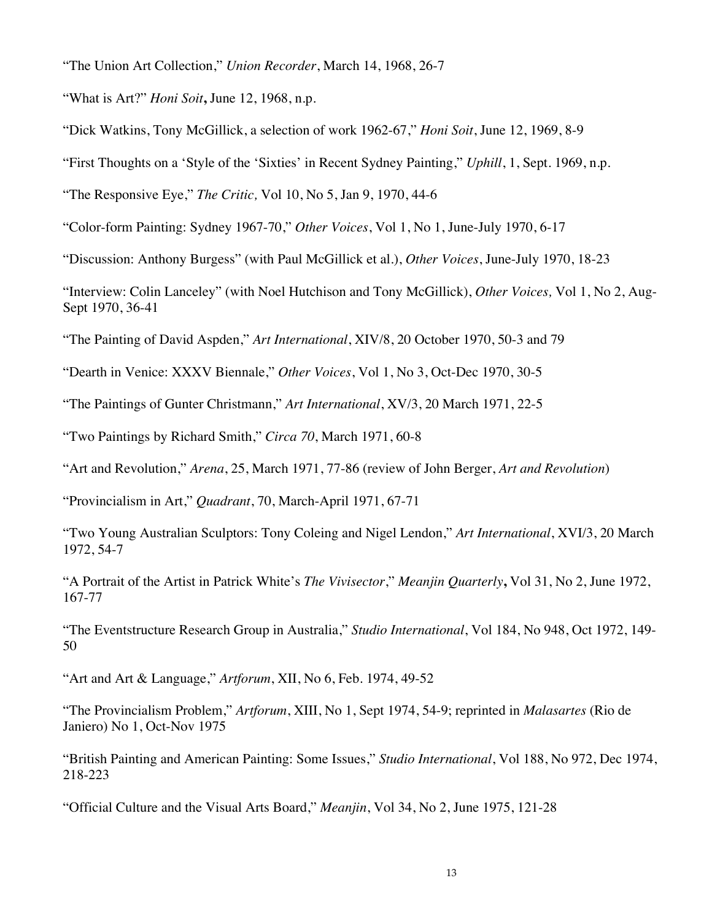"The Union Art Collection," *Union Recorder*, March 14, 1968, 26-7

"What is Art?" *Honi Soit***,** June 12, 1968, n.p.

"Dick Watkins, Tony McGillick, a selection of work 1962-67," *Honi Soit*, June 12, 1969, 8-9

"First Thoughts on a 'Style of the 'Sixties' in Recent Sydney Painting," *Uphill*, 1, Sept. 1969, n.p.

"The Responsive Eye," *The Critic,* Vol 10, No 5, Jan 9, 1970, 44-6

"Color-form Painting: Sydney 1967-70," *Other Voices*, Vol 1, No 1, June-July 1970, 6-17

"Discussion: Anthony Burgess" (with Paul McGillick et al.), *Other Voices*, June-July 1970, 18-23

"Interview: Colin Lanceley" (with Noel Hutchison and Tony McGillick), *Other Voices,* Vol 1, No 2, Aug-Sept 1970, 36-41

"The Painting of David Aspden," *Art International*, XIV/8, 20 October 1970, 50-3 and 79

"Dearth in Venice: XXXV Biennale," *Other Voices*, Vol 1, No 3, Oct-Dec 1970, 30-5

"The Paintings of Gunter Christmann," *Art International*, XV/3, 20 March 1971, 22-5

"Two Paintings by Richard Smith," *Circa 70*, March 1971, 60-8

"Art and Revolution," *Arena*, 25, March 1971, 77-86 (review of John Berger, *Art and Revolution*)

"Provincialism in Art," *Quadrant*, 70, March-April 1971, 67-71

"Two Young Australian Sculptors: Tony Coleing and Nigel Lendon," *Art International*, XVI/3, 20 March 1972, 54-7

"A Portrait of the Artist in Patrick White's *The Vivisector*," *Meanjin Quarterly***,** Vol 31, No 2, June 1972, 167-77

"The Eventstructure Research Group in Australia," *Studio International*, Vol 184, No 948, Oct 1972, 149- 50

"Art and Art & Language," *Artforum*, XII, No 6, Feb. 1974, 49-52

"The Provincialism Problem," *Artforum*, XIII, No 1, Sept 1974, 54-9; reprinted in *Malasartes* (Rio de Janiero) No 1, Oct-Nov 1975

"British Painting and American Painting: Some Issues," *Studio International*, Vol 188, No 972, Dec 1974, 218-223

"Official Culture and the Visual Arts Board," *Meanjin*, Vol 34, No 2, June 1975, 121-28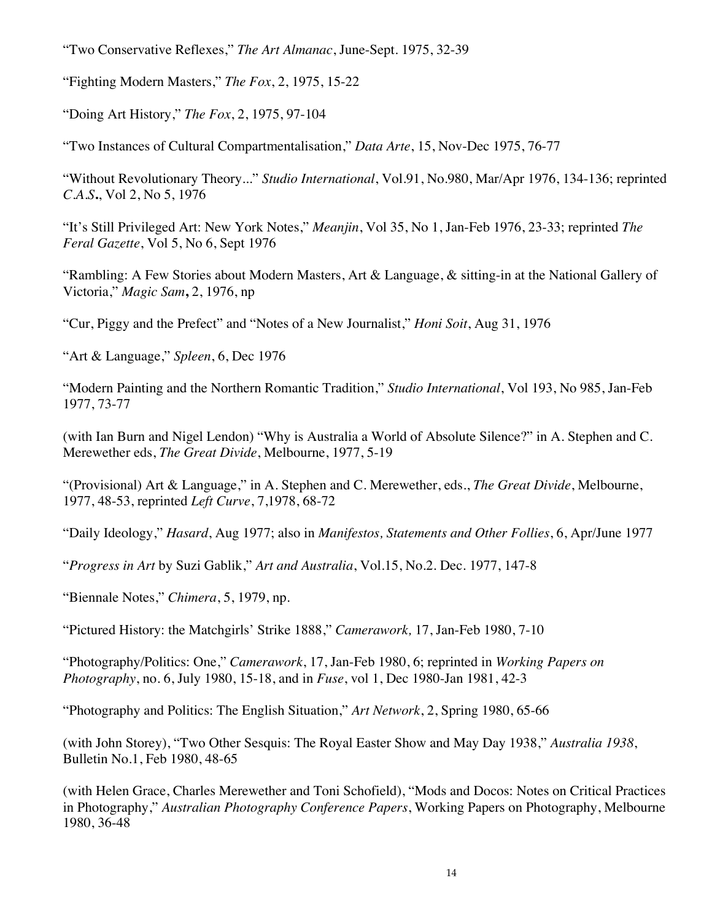"Two Conservative Reflexes," *The Art Almanac*, June-Sept. 1975, 32-39

"Fighting Modern Masters," *The Fox*, 2, 1975, 15-22

"Doing Art History," *The Fox*, 2, 1975, 97-104

"Two Instances of Cultural Compartmentalisation," *Data Arte*, 15, Nov-Dec 1975, 76-77

"Without Revolutionary Theory..." *Studio International*, Vol.91, No.980, Mar/Apr 1976, 134-136; reprinted *C.A.S***.**, Vol 2, No 5, 1976

"It's Still Privileged Art: New York Notes," *Meanjin*, Vol 35, No 1, Jan-Feb 1976, 23-33; reprinted *The Feral Gazette*, Vol 5, No 6, Sept 1976

"Rambling: A Few Stories about Modern Masters, Art & Language, & sitting-in at the National Gallery of Victoria," *Magic Sam***,** 2, 1976, np

"Cur, Piggy and the Prefect" and "Notes of a New Journalist," *Honi Soit*, Aug 31, 1976

"Art & Language," *Spleen*, 6, Dec 1976

"Modern Painting and the Northern Romantic Tradition," *Studio International*, Vol 193, No 985, Jan-Feb 1977, 73-77

(with Ian Burn and Nigel Lendon) "Why is Australia a World of Absolute Silence?" in A. Stephen and C. Merewether eds, *The Great Divide*, Melbourne, 1977, 5-19

"(Provisional) Art & Language," in A. Stephen and C. Merewether, eds., *The Great Divide*, Melbourne, 1977, 48-53, reprinted *Left Curve*, 7,1978, 68-72

"Daily Ideology," *Hasard*, Aug 1977; also in *Manifestos, Statements and Other Follies*, 6, Apr/June 1977

"*Progress in Art* by Suzi Gablik," *Art and Australia*, Vol.15, No.2. Dec. 1977, 147-8

"Biennale Notes," *Chimera*, 5, 1979, np.

"Pictured History: the Matchgirls' Strike 1888," *Camerawork,* 17, Jan-Feb 1980, 7-10

"Photography/Politics: One," *Camerawork*, 17, Jan-Feb 1980, 6; reprinted in *Working Papers on Photography*, no. 6, July 1980, 15-18, and in *Fuse*, vol 1, Dec 1980-Jan 1981, 42-3

"Photography and Politics: The English Situation," *Art Network*, 2, Spring 1980, 65-66

(with John Storey), "Two Other Sesquis: The Royal Easter Show and May Day 1938," *Australia 1938*, Bulletin No.1, Feb 1980, 48-65

(with Helen Grace, Charles Merewether and Toni Schofield), "Mods and Docos: Notes on Critical Practices in Photography," *Australian Photography Conference Papers*, Working Papers on Photography, Melbourne 1980, 36-48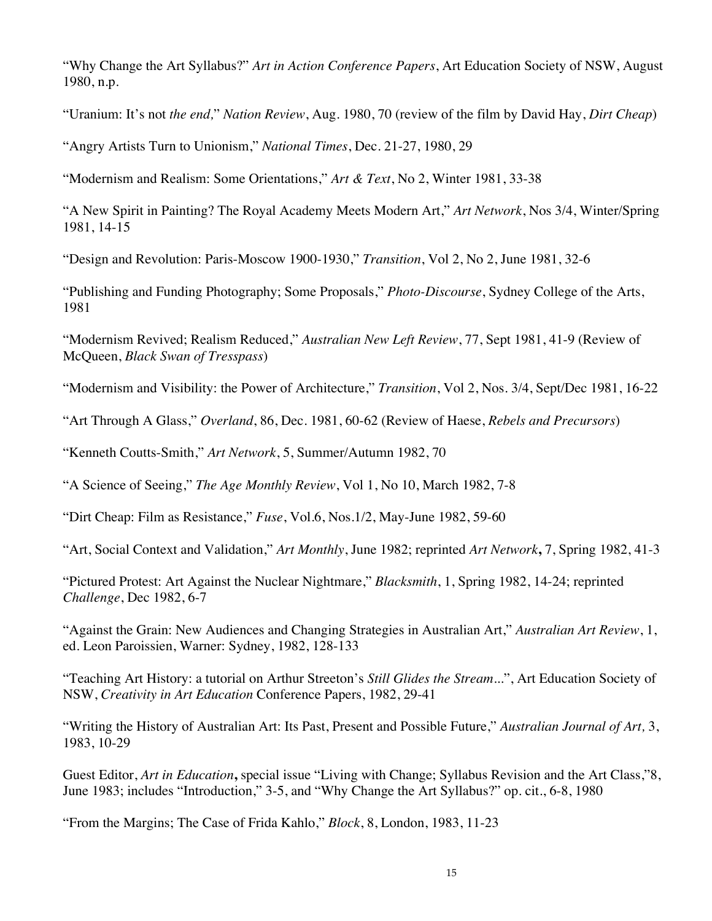"Why Change the Art Syllabus?" *Art in Action Conference Papers*, Art Education Society of NSW, August 1980, n.p.

"Uranium: It's not *the end,*" *Nation Review*, Aug. 1980, 70 (review of the film by David Hay, *Dirt Cheap*)

"Angry Artists Turn to Unionism," *National Times*, Dec. 21-27, 1980, 29

"Modernism and Realism: Some Orientations," *Art & Text*, No 2, Winter 1981, 33-38

"A New Spirit in Painting? The Royal Academy Meets Modern Art," *Art Network*, Nos 3/4, Winter/Spring 1981, 14-15

"Design and Revolution: Paris-Moscow 1900-1930," *Transition*, Vol 2, No 2, June 1981, 32-6

"Publishing and Funding Photography; Some Proposals," *Photo-Discourse*, Sydney College of the Arts, 1981

"Modernism Revived; Realism Reduced," *Australian New Left Review*, 77, Sept 1981, 41-9 (Review of McQueen, *Black Swan of Tresspass*)

"Modernism and Visibility: the Power of Architecture," *Transition*, Vol 2, Nos. 3/4, Sept/Dec 1981, 16-22

"Art Through A Glass," *Overland*, 86, Dec. 1981, 60-62 (Review of Haese, *Rebels and Precursors*)

"Kenneth Coutts-Smith," *Art Network*, 5, Summer/Autumn 1982, 70

"A Science of Seeing," *The Age Monthly Review*, Vol 1, No 10, March 1982, 7-8

"Dirt Cheap: Film as Resistance," *Fuse*, Vol.6, Nos.1/2, May-June 1982, 59-60

"Art, Social Context and Validation," *Art Monthly*, June 1982; reprinted *Art Network***,** 7, Spring 1982, 41-3

"Pictured Protest: Art Against the Nuclear Nightmare," *Blacksmith*, 1, Spring 1982, 14-24; reprinted *Challenge*, Dec 1982, 6-7

"Against the Grain: New Audiences and Changing Strategies in Australian Art," *Australian Art Review*, 1, ed. Leon Paroissien, Warner: Sydney, 1982, 128-133

"Teaching Art History: a tutorial on Arthur Streeton's *Still Glides the Stream*...", Art Education Society of NSW, *Creativity in Art Education* Conference Papers, 1982, 29-41

"Writing the History of Australian Art: Its Past, Present and Possible Future," *Australian Journal of Art,* 3, 1983, 10-29

Guest Editor, *Art in Education***,** special issue "Living with Change; Syllabus Revision and the Art Class,"8, June 1983; includes "Introduction," 3-5, and "Why Change the Art Syllabus?" op. cit., 6-8, 1980

"From the Margins; The Case of Frida Kahlo," *Block*, 8, London, 1983, 11-23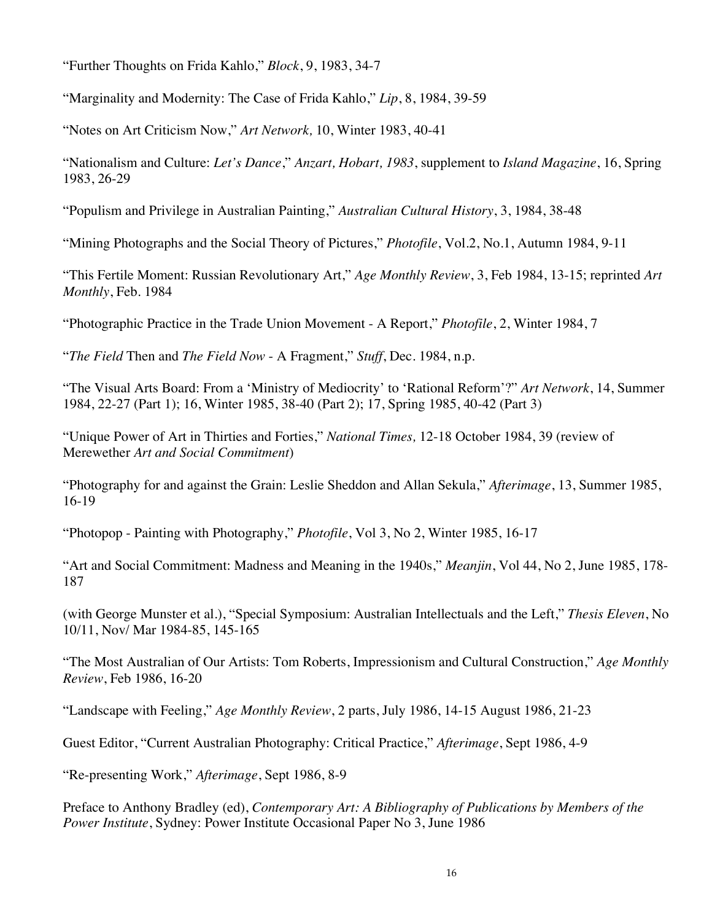"Further Thoughts on Frida Kahlo," *Block*, 9, 1983, 34-7

"Marginality and Modernity: The Case of Frida Kahlo," *Lip*, 8, 1984, 39-59

"Notes on Art Criticism Now," *Art Network,* 10, Winter 1983, 40-41

"Nationalism and Culture: *Let's Dance*," *Anzart, Hobart, 1983*, supplement to *Island Magazine*, 16, Spring 1983, 26-29

"Populism and Privilege in Australian Painting," *Australian Cultural History*, 3, 1984, 38-48

"Mining Photographs and the Social Theory of Pictures," *Photofile*, Vol.2, No.1, Autumn 1984, 9-11

"This Fertile Moment: Russian Revolutionary Art," *Age Monthly Review*, 3, Feb 1984, 13-15; reprinted *Art Monthly*, Feb. 1984

"Photographic Practice in the Trade Union Movement - A Report," *Photofile*, 2, Winter 1984, 7

"*The Field* Then and *The Field Now* - A Fragment," *Stuff*, Dec. 1984, n.p.

"The Visual Arts Board: From a 'Ministry of Mediocrity' to 'Rational Reform'?" *Art Network*, 14, Summer 1984, 22-27 (Part 1); 16, Winter 1985, 38-40 (Part 2); 17, Spring 1985, 40-42 (Part 3)

"Unique Power of Art in Thirties and Forties," *National Times,* 12-18 October 1984, 39 (review of Merewether *Art and Social Commitment*)

"Photography for and against the Grain: Leslie Sheddon and Allan Sekula," *Afterimage*, 13, Summer 1985, 16-19

"Photopop - Painting with Photography," *Photofile*, Vol 3, No 2, Winter 1985, 16-17

"Art and Social Commitment: Madness and Meaning in the 1940s," *Meanjin*, Vol 44, No 2, June 1985, 178- 187

(with George Munster et al.), "Special Symposium: Australian Intellectuals and the Left," *Thesis Eleven*, No 10/11, Nov/ Mar 1984-85, 145-165

"The Most Australian of Our Artists: Tom Roberts, Impressionism and Cultural Construction," *Age Monthly Review*, Feb 1986, 16-20

"Landscape with Feeling," *Age Monthly Review*, 2 parts, July 1986, 14-15 August 1986, 21-23

Guest Editor, "Current Australian Photography: Critical Practice," *Afterimage*, Sept 1986, 4-9

"Re-presenting Work," *Afterimage*, Sept 1986, 8-9

Preface to Anthony Bradley (ed), *Contemporary Art: A Bibliography of Publications by Members of the Power Institute*, Sydney: Power Institute Occasional Paper No 3, June 1986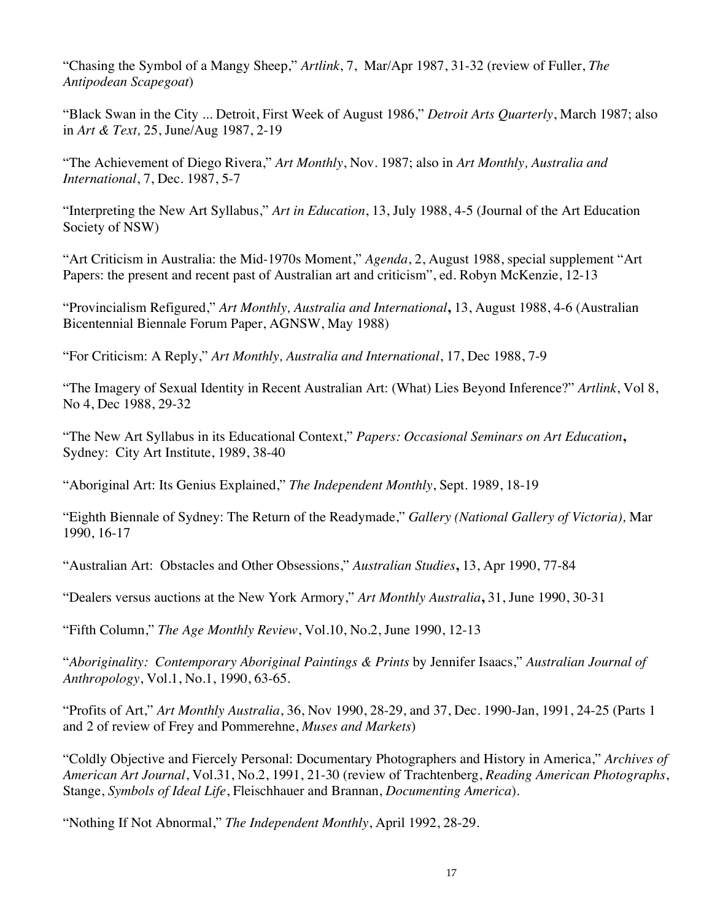"Chasing the Symbol of a Mangy Sheep," *Artlink*, 7, Mar/Apr 1987, 31-32 (review of Fuller, *The Antipodean Scapegoat*)

"Black Swan in the City ... Detroit, First Week of August 1986," *Detroit Arts Quarterly*, March 1987; also in *Art & Text,* 25, June/Aug 1987, 2-19

"The Achievement of Diego Rivera," *Art Monthly*, Nov. 1987; also in *Art Monthly, Australia and International*, 7, Dec. 1987, 5-7

"Interpreting the New Art Syllabus," *Art in Education*, 13, July 1988, 4-5 (Journal of the Art Education Society of NSW)

"Art Criticism in Australia: the Mid-1970s Moment," *Agenda*, 2, August 1988, special supplement "Art Papers: the present and recent past of Australian art and criticism", ed. Robyn McKenzie, 12-13

"Provincialism Refigured," *Art Monthly, Australia and International***,** 13, August 1988, 4-6 (Australian Bicentennial Biennale Forum Paper, AGNSW, May 1988)

"For Criticism: A Reply," *Art Monthly, Australia and International*, 17, Dec 1988, 7-9

"The Imagery of Sexual Identity in Recent Australian Art: (What) Lies Beyond Inference?" *Artlink*, Vol 8, No 4, Dec 1988, 29-32

"The New Art Syllabus in its Educational Context," *Papers: Occasional Seminars on Art Education***,** Sydney: City Art Institute, 1989, 38-40

"Aboriginal Art: Its Genius Explained," *The Independent Monthly*, Sept. 1989, 18-19

"Eighth Biennale of Sydney: The Return of the Readymade," *Gallery (National Gallery of Victoria),* Mar 1990, 16-17

"Australian Art: Obstacles and Other Obsessions," *Australian Studies***,** 13, Apr 1990, 77-84

"Dealers versus auctions at the New York Armory," *Art Monthly Australia***,** 31, June 1990, 30-31

"Fifth Column," *The Age Monthly Review*, Vol.10, No.2, June 1990, 12-13

"*Aboriginality: Contemporary Aboriginal Paintings & Prints* by Jennifer Isaacs," *Australian Journal of Anthropology*, Vol.1, No.1, 1990, 63-65.

"Profits of Art," *Art Monthly Australia*, 36, Nov 1990, 28-29, and 37, Dec. 1990-Jan, 1991, 24-25 (Parts 1 and 2 of review of Frey and Pommerehne, *Muses and Markets*)

"Coldly Objective and Fiercely Personal: Documentary Photographers and History in America," *Archives of American Art Journal*, Vol.31, No.2, 1991, 21-30 (review of Trachtenberg, *Reading American Photographs*, Stange, *Symbols of Ideal Life*, Fleischhauer and Brannan, *Documenting America*).

"Nothing If Not Abnormal," *The Independent Monthly*, April 1992, 28-29.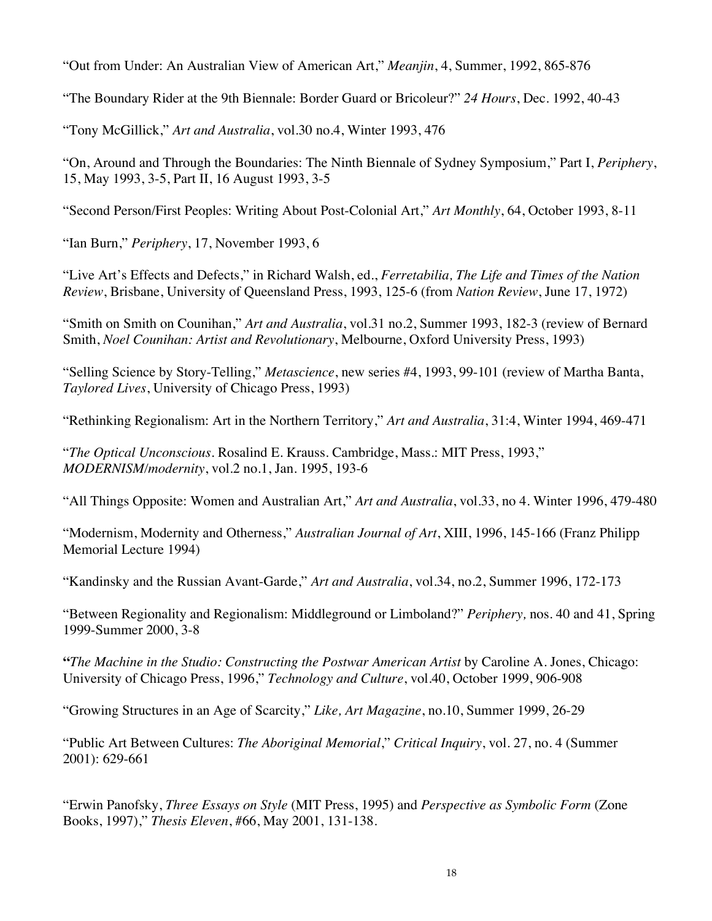"Out from Under: An Australian View of American Art," *Meanjin*, 4, Summer, 1992, 865-876

"The Boundary Rider at the 9th Biennale: Border Guard or Bricoleur?" *24 Hours*, Dec. 1992, 40-43

"Tony McGillick," *Art and Australia*, vol.30 no.4, Winter 1993, 476

"On, Around and Through the Boundaries: The Ninth Biennale of Sydney Symposium," Part I, *Periphery*, 15, May 1993, 3-5, Part II, 16 August 1993, 3-5

"Second Person/First Peoples: Writing About Post-Colonial Art," *Art Monthly*, 64, October 1993, 8-11

"Ian Burn," *Periphery*, 17, November 1993, 6

"Live Art's Effects and Defects," in Richard Walsh, ed., *Ferretabilia, The Life and Times of the Nation Review*, Brisbane, University of Queensland Press, 1993, 125-6 (from *Nation Review*, June 17, 1972)

"Smith on Smith on Counihan," *Art and Australia*, vol.31 no.2, Summer 1993, 182-3 (review of Bernard Smith, *Noel Counihan: Artist and Revolutionary*, Melbourne, Oxford University Press, 1993)

"Selling Science by Story-Telling," *Metascience*, new series #4, 1993, 99-101 (review of Martha Banta, *Taylored Lives*, University of Chicago Press, 1993)

"Rethinking Regionalism: Art in the Northern Territory," *Art and Australia*, 31:4, Winter 1994, 469-471

"*The Optical Unconscious*. Rosalind E. Krauss. Cambridge, Mass.: MIT Press, 1993," *MODERNISM/modernity*, vol.2 no.1, Jan. 1995, 193-6

"All Things Opposite: Women and Australian Art," *Art and Australia*, vol.33, no 4. Winter 1996, 479-480

"Modernism, Modernity and Otherness," *Australian Journal of Art*, XIII, 1996, 145-166 (Franz Philipp Memorial Lecture 1994)

"Kandinsky and the Russian Avant-Garde," *Art and Australia*, vol.34, no.2, Summer 1996, 172-173

"Between Regionality and Regionalism: Middleground or Limboland?" *Periphery,* nos. 40 and 41, Spring 1999-Summer 2000, 3-8

**"***The Machine in the Studio: Constructing the Postwar American Artist* by Caroline A. Jones, Chicago: University of Chicago Press, 1996," *Technology and Culture*, vol.40, October 1999, 906-908

"Growing Structures in an Age of Scarcity," *Like, Art Magazine*, no.10, Summer 1999, 26-29

"Public Art Between Cultures: *The Aboriginal Memorial*," *Critical Inquiry*, vol. 27, no. 4 (Summer 2001): 629-661

"Erwin Panofsky, *Three Essays on Style* (MIT Press, 1995) and *Perspective as Symbolic Form* (Zone Books, 1997)," *Thesis Eleven*, #66, May 2001, 131-138.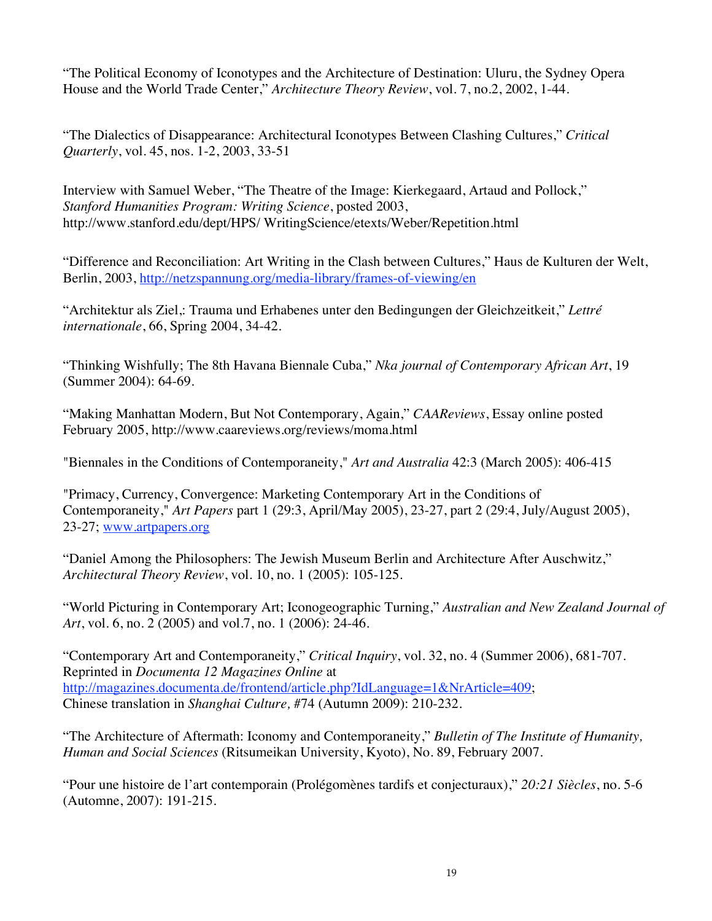"The Political Economy of Iconotypes and the Architecture of Destination: Uluru, the Sydney Opera House and the World Trade Center," *Architecture Theory Review*, vol. 7, no.2, 2002, 1-44.

"The Dialectics of Disappearance: Architectural Iconotypes Between Clashing Cultures," *Critical Quarterly*, vol. 45, nos. 1-2, 2003, 33-51

Interview with Samuel Weber, "The Theatre of the Image: Kierkegaard, Artaud and Pollock," *Stanford Humanities Program: Writing Science*, posted 2003, http://www.stanford.edu/dept/HPS/ WritingScience/etexts/Weber/Repetition.html

"Difference and Reconciliation: Art Writing in the Clash between Cultures," Haus de Kulturen der Welt, Berlin, 2003, http://netzspannung.org/media-library/frames-of-viewing/en

"Architektur als Ziel,: Trauma und Erhabenes unter den Bedingungen der Gleichzeitkeit," *Lettré internationale*, 66, Spring 2004, 34-42.

"Thinking Wishfully; The 8th Havana Biennale Cuba," *Nka journal of Contemporary African Art*, 19 (Summer 2004): 64-69.

"Making Manhattan Modern, But Not Contemporary, Again," *CAAReviews*, Essay online posted February 2005, http://www.caareviews.org/reviews/moma.html

"Biennales in the Conditions of Contemporaneity," *Art and Australia* 42:3 (March 2005): 406-415

"Primacy, Currency, Convergence: Marketing Contemporary Art in the Conditions of Contemporaneity," *Art Papers* part 1 (29:3, April/May 2005), 23-27, part 2 (29:4, July/August 2005), 23-27; www.artpapers.org

"Daniel Among the Philosophers: The Jewish Museum Berlin and Architecture After Auschwitz," *Architectural Theory Review*, vol. 10, no. 1 (2005): 105-125.

"World Picturing in Contemporary Art; Iconogeographic Turning," *Australian and New Zealand Journal of Art*, vol. 6, no. 2 (2005) and vol.7, no. 1 (2006): 24-46.

"Contemporary Art and Contemporaneity," *Critical Inquiry*, vol. 32, no. 4 (Summer 2006), 681-707. Reprinted in *Documenta 12 Magazines Online* at http://magazines.documenta.de/frontend/article.php?IdLanguage=1&NrArticle=409; Chinese translation in *Shanghai Culture,* #74 (Autumn 2009): 210-232.

"The Architecture of Aftermath: Iconomy and Contemporaneity," *Bulletin of The Institute of Humanity, Human and Social Sciences* (Ritsumeikan University, Kyoto), No. 89, February 2007.

"Pour une histoire de l'art contemporain (Prolégomènes tardifs et conjecturaux)," *20:21 Siècles*, no. 5-6 (Automne, 2007): 191-215.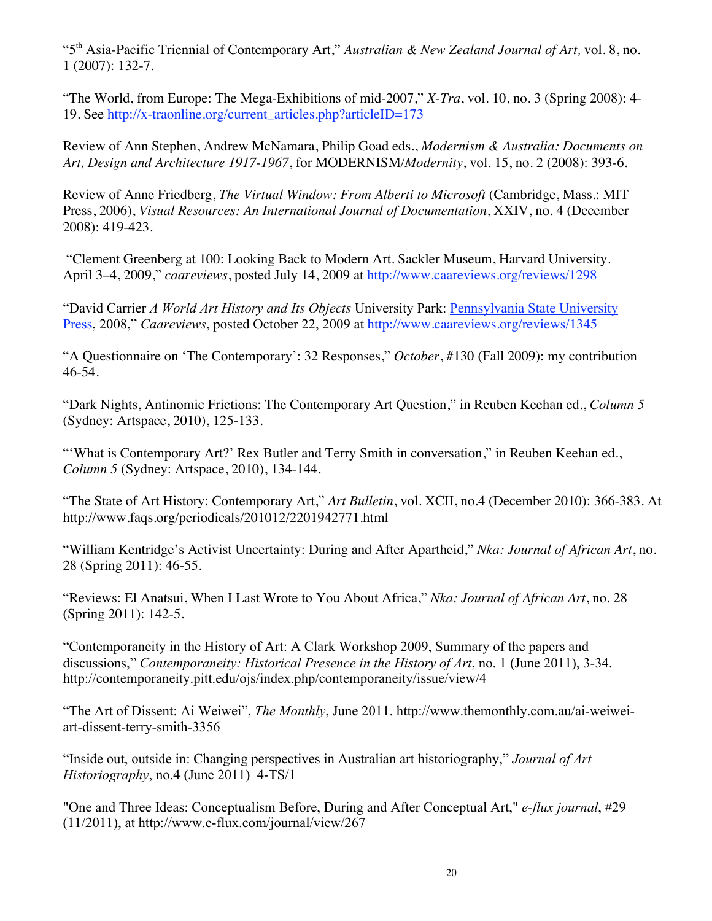"5th Asia-Pacific Triennial of Contemporary Art," *Australian & New Zealand Journal of Art,* vol. 8, no. 1 (2007): 132-7.

"The World, from Europe: The Mega-Exhibitions of mid-2007," *X-Tra*, vol. 10, no. 3 (Spring 2008): 4- 19. See http://x-traonline.org/current\_articles.php?articleID=173

Review of Ann Stephen, Andrew McNamara, Philip Goad eds., *Modernism & Australia: Documents on Art, Design and Architecture 1917-1967*, for MODERNISM*/Modernity*, vol. 15, no. 2 (2008): 393-6.

Review of Anne Friedberg, *The Virtual Window: From Alberti to Microsoft* (Cambridge, Mass.: MIT Press, 2006), *Visual Resources: An International Journal of Documentation*, XXIV, no. 4 (December 2008): 419-423.

 "Clement Greenberg at 100: Looking Back to Modern Art. Sackler Museum, Harvard University. April 3–4, 2009," *caareviews*, posted July 14, 2009 at http://www.caareviews.org/reviews/1298

"David Carrier *A World Art History and Its Objects* University Park: Pennsylvania State University Press, 2008," *Caareviews*, posted October 22, 2009 at http://www.caareviews.org/reviews/1345

"A Questionnaire on 'The Contemporary': 32 Responses," *October*, #130 (Fall 2009): my contribution 46-54.

"Dark Nights, Antinomic Frictions: The Contemporary Art Question," in Reuben Keehan ed., *Column 5* (Sydney: Artspace, 2010), 125-133.

"'What is Contemporary Art?' Rex Butler and Terry Smith in conversation," in Reuben Keehan ed., *Column 5* (Sydney: Artspace, 2010), 134-144.

"The State of Art History: Contemporary Art," *Art Bulletin*, vol. XCII, no.4 (December 2010): 366-383. At http://www.faqs.org/periodicals/201012/2201942771.html

"William Kentridge's Activist Uncertainty: During and After Apartheid," *Nka: Journal of African Art*, no. 28 (Spring 2011): 46-55.

"Reviews: El Anatsui, When I Last Wrote to You About Africa," *Nka: Journal of African Art*, no. 28 (Spring 2011): 142-5.

"Contemporaneity in the History of Art: A Clark Workshop 2009, Summary of the papers and discussions," *Contemporaneity: Historical Presence in the History of Art*, no. 1 (June 2011), 3-34. http://contemporaneity.pitt.edu/ojs/index.php/contemporaneity/issue/view/4

"The Art of Dissent: Ai Weiwei", *The Monthly*, June 2011. http://www.themonthly.com.au/ai-weiweiart-dissent-terry-smith-3356

"Inside out, outside in: Changing perspectives in Australian art historiography," *Journal of Art Historiography*, no.4 (June 2011) 4-TS/1

"One and Three Ideas: Conceptualism Before, During and After Conceptual Art," *e-flux journal*, #29  $(11/2011)$ , at http://www.e-flux.com/journal/view/267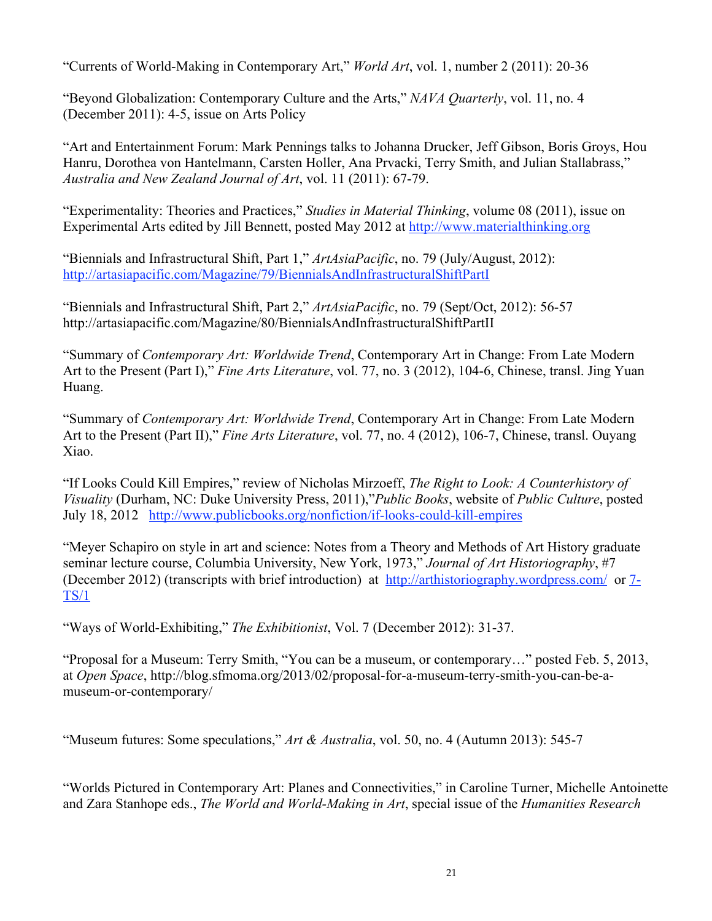"Currents of World-Making in Contemporary Art," *World Art*, vol. 1, number 2 (2011): 20-36

"Beyond Globalization: Contemporary Culture and the Arts," *NAVA Quarterly*, vol. 11, no. 4 (December 2011): 4-5, issue on Arts Policy

"Art and Entertainment Forum: Mark Pennings talks to Johanna Drucker, Jeff Gibson, Boris Groys, Hou Hanru, Dorothea von Hantelmann, Carsten Holler, Ana Prvacki, Terry Smith, and Julian Stallabrass," *Australia and New Zealand Journal of Art*, vol. 11 (2011): 67-79.

"Experimentality: Theories and Practices," *Studies in Material Thinking*, volume 08 (2011), issue on Experimental Arts edited by Jill Bennett, posted May 2012 at http://www.materialthinking.org

"Biennials and Infrastructural Shift, Part 1," *ArtAsiaPacific*, no. 79 (July/August, 2012): http://artasiapacific.com/Magazine/79/BiennialsAndInfrastructuralShiftPartI

"Biennials and Infrastructural Shift, Part 2," *ArtAsiaPacific*, no. 79 (Sept/Oct, 2012): 56-57 http://artasiapacific.com/Magazine/80/BiennialsAndInfrastructuralShiftPartII

"Summary of *Contemporary Art: Worldwide Trend*, Contemporary Art in Change: From Late Modern Art to the Present (Part I)," *Fine Arts Literature*, vol. 77, no. 3 (2012), 104-6, Chinese, transl. Jing Yuan Huang.

"Summary of *Contemporary Art: Worldwide Trend*, Contemporary Art in Change: From Late Modern Art to the Present (Part II)," *Fine Arts Literature*, vol. 77, no. 4 (2012), 106-7, Chinese, transl. Ouyang Xiao.

"If Looks Could Kill Empires," review of Nicholas Mirzoeff, *The Right to Look: A Counterhistory of Visuality* (Durham, NC: Duke University Press, 2011),"*Public Books*, website of *Public Culture*, posted July 18, 2012 http://www.publicbooks.org/nonfiction/if-looks-could-kill-empires

"Meyer Schapiro on style in art and science: Notes from a Theory and Methods of Art History graduate seminar lecture course, Columbia University, New York, 1973," *Journal of Art Historiography*, #7 (December 2012) (transcripts with brief introduction) at http://arthistoriography.wordpress.com/ or 7- TS/1

"Ways of World-Exhibiting," *The Exhibitionist*, Vol. 7 (December 2012): 31-37.

"Proposal for a Museum: Terry Smith, "You can be a museum, or contemporary…" posted Feb. 5, 2013, at *Open Space*, http://blog.sfmoma.org/2013/02/proposal-for-a-museum-terry-smith-you-can-be-amuseum-or-contemporary/

"Museum futures: Some speculations," *Art & Australia*, vol. 50, no. 4 (Autumn 2013): 545-7

"Worlds Pictured in Contemporary Art: Planes and Connectivities," in Caroline Turner, Michelle Antoinette and Zara Stanhope eds., *The World and World-Making in Art*, special issue of the *Humanities Research*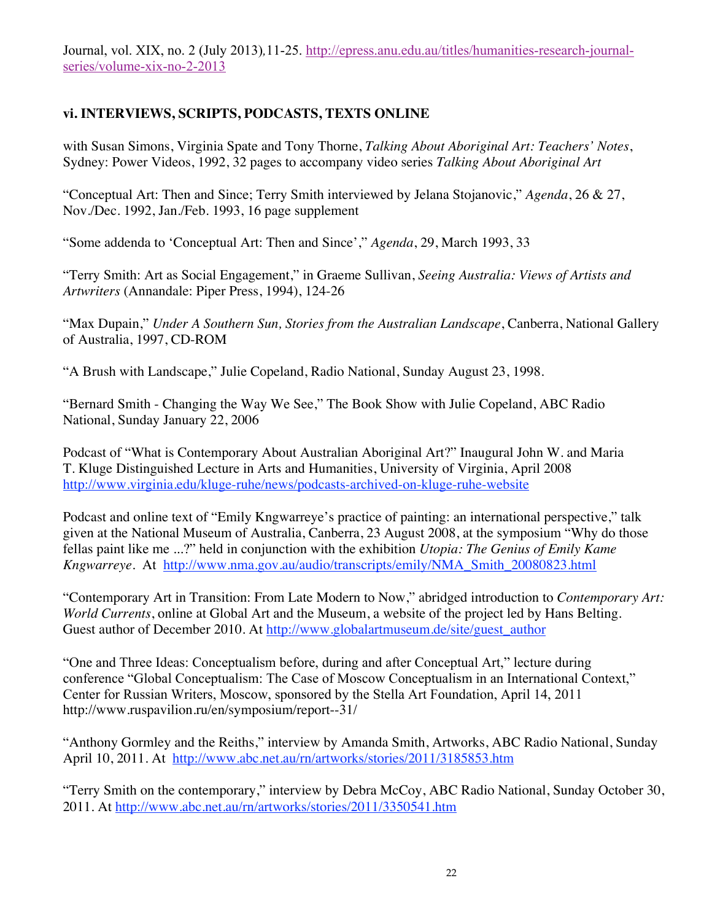Journal, vol. XIX, no. 2 (July 2013)*,*11-25. http://epress.anu.edu.au/titles/humanities-research-journalseries/volume-xix-no-2-2013

## **vi. INTERVIEWS, SCRIPTS, PODCASTS, TEXTS ONLINE**

with Susan Simons, Virginia Spate and Tony Thorne, *Talking About Aboriginal Art: Teachers' Notes*, Sydney: Power Videos, 1992, 32 pages to accompany video series *Talking About Aboriginal Art*

"Conceptual Art: Then and Since; Terry Smith interviewed by Jelana Stojanovic," *Agenda*, 26 & 27, Nov./Dec. 1992, Jan./Feb. 1993, 16 page supplement

"Some addenda to 'Conceptual Art: Then and Since'," *Agenda*, 29, March 1993, 33

"Terry Smith: Art as Social Engagement," in Graeme Sullivan, *Seeing Australia: Views of Artists and Artwriters* (Annandale: Piper Press, 1994), 124-26

"Max Dupain," *Under A Southern Sun, Stories from the Australian Landscape*, Canberra, National Gallery of Australia, 1997, CD-ROM

"A Brush with Landscape," Julie Copeland, Radio National, Sunday August 23, 1998.

"Bernard Smith - Changing the Way We See," The Book Show with Julie Copeland, ABC Radio National, Sunday January 22, 2006

Podcast of "What is Contemporary About Australian Aboriginal Art?" Inaugural John W. and Maria T. Kluge Distinguished Lecture in Arts and Humanities, University of Virginia, April 2008 http://www.virginia.edu/kluge-ruhe/news/podcasts-archived-on-kluge-ruhe-website

Podcast and online text of "Emily Kngwarreye's practice of painting: an international perspective," talk given at the National Museum of Australia, Canberra, 23 August 2008, at the symposium "Why do those fellas paint like me ...?" held in conjunction with the exhibition *Utopia: The Genius of Emily Kame Kngwarreye*. At http://www.nma.gov.au/audio/transcripts/emily/NMA\_Smith\_20080823.html

"Contemporary Art in Transition: From Late Modern to Now," abridged introduction to *Contemporary Art: World Currents*, online at Global Art and the Museum, a website of the project led by Hans Belting. Guest author of December 2010. At http://www.globalartmuseum.de/site/guest\_author

"One and Three Ideas: Conceptualism before, during and after Conceptual Art," lecture during conference "Global Conceptualism: The Case of Moscow Conceptualism in an International Context," Center for Russian Writers, Moscow, sponsored by the Stella Art Foundation, April 14, 2011 http://www.ruspavilion.ru/en/symposium/report--31/

"Anthony Gormley and the Reiths," interview by Amanda Smith, Artworks, ABC Radio National, Sunday April 10, 2011. At http://www.abc.net.au/rn/artworks/stories/2011/3185853.htm

"Terry Smith on the contemporary," interview by Debra McCoy, ABC Radio National, Sunday October 30, 2011. At http://www.abc.net.au/rn/artworks/stories/2011/3350541.htm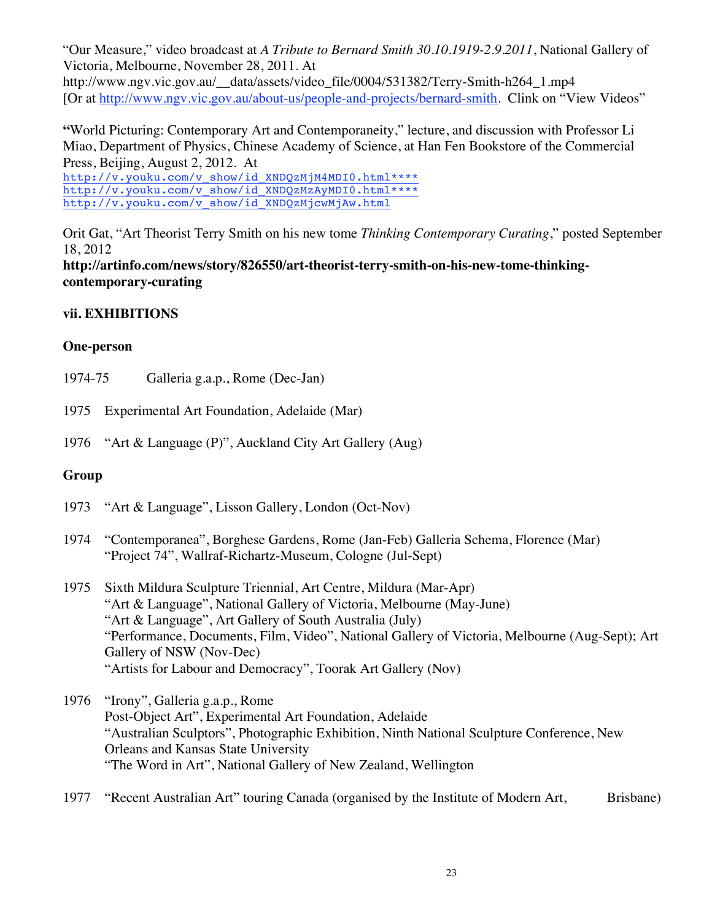"Our Measure," video broadcast at *A Tribute to Bernard Smith 30.10.1919-2.9.2011*, National Gallery of Victoria, Melbourne, November 28, 2011. At http://www.ngv.vic.gov.au/\_\_data/assets/video\_file/0004/531382/Terry-Smith-h264\_1.mp4 [Or at http://www.ngv.vic.gov.au/about-us/people-and-projects/bernard-smith. Clink on "View Videos"

**"**World Picturing: Contemporary Art and Contemporaneity," lecture, and discussion with Professor Li Miao, Department of Physics, Chinese Academy of Science, at Han Fen Bookstore of the Commercial Press, Beijing, August 2, 2012. At

http://v.youku.com/v\_show/id\_XNDQzMjM4MDI0.html\*\*\*\* http://v.youku.com/v\_show/id\_XNDQzMzAyMDI0.html\*\*\*\* http://v.youku.com/v\_show/id\_XNDQzMjcwMjAw.html

Orit Gat, "Art Theorist Terry Smith on his new tome *Thinking Contemporary Curating*," posted September 18, 2012

**http://artinfo.com/news/story/826550/art-theorist-terry-smith-on-his-new-tome-thinkingcontemporary-curating**

# **vii. EXHIBITIONS**

## **One-person**

- 1974-75 Galleria g.a.p., Rome (Dec-Jan)
- 1975 Experimental Art Foundation, Adelaide (Mar)
- 1976 "Art & Language (P)", Auckland City Art Gallery (Aug)

# **Group**

- 1973 "Art & Language", Lisson Gallery, London (Oct-Nov)
- 1974 "Contemporanea", Borghese Gardens, Rome (Jan-Feb) Galleria Schema, Florence (Mar) "Project 74", Wallraf-Richartz-Museum, Cologne (Jul-Sept)
- 1975 Sixth Mildura Sculpture Triennial, Art Centre, Mildura (Mar-Apr) "Art & Language", National Gallery of Victoria, Melbourne (May-June) "Art & Language", Art Gallery of South Australia (July) "Performance, Documents, Film, Video", National Gallery of Victoria, Melbourne (Aug-Sept); Art Gallery of NSW (Nov-Dec) "Artists for Labour and Democracy", Toorak Art Gallery (Nov)
- 1976 "Irony", Galleria g.a.p., Rome Post-Object Art", Experimental Art Foundation, Adelaide "Australian Sculptors", Photographic Exhibition, Ninth National Sculpture Conference, New Orleans and Kansas State University "The Word in Art", National Gallery of New Zealand, Wellington
- 1977 "Recent Australian Art" touring Canada (organised by the Institute of Modern Art, Brisbane)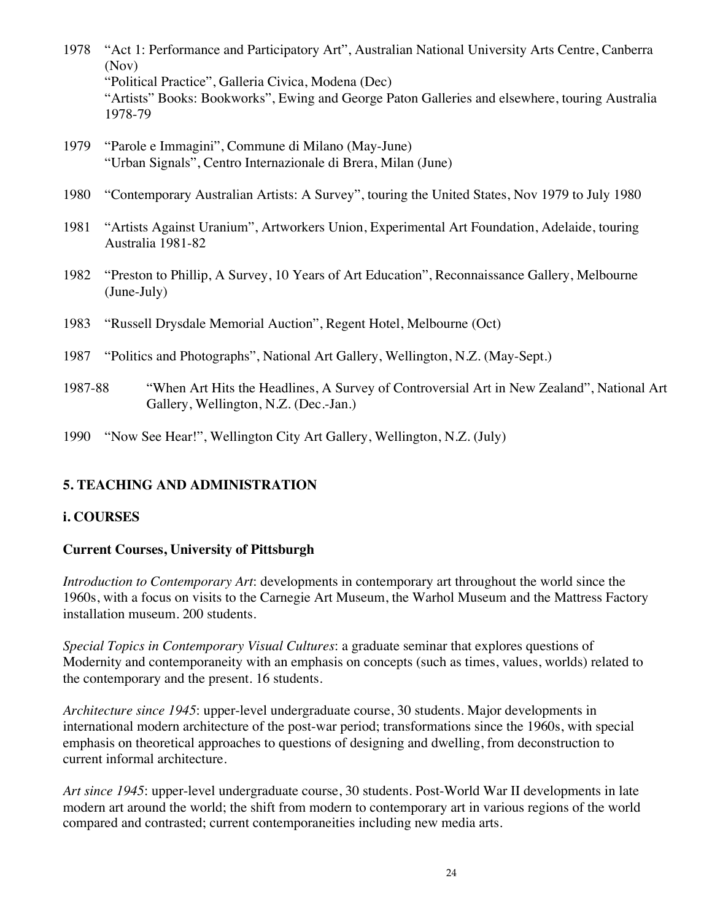- 1978 "Act 1: Performance and Participatory Art", Australian National University Arts Centre, Canberra (Nov) "Political Practice", Galleria Civica, Modena (Dec) "Artists" Books: Bookworks", Ewing and George Paton Galleries and elsewhere, touring Australia 1978-79
- 1979 "Parole e Immagini", Commune di Milano (May-June) "Urban Signals", Centro Internazionale di Brera, Milan (June)
- 1980 "Contemporary Australian Artists: A Survey", touring the United States, Nov 1979 to July 1980
- 1981 "Artists Against Uranium", Artworkers Union, Experimental Art Foundation, Adelaide, touring Australia 1981-82
- 1982 "Preston to Phillip, A Survey, 10 Years of Art Education", Reconnaissance Gallery, Melbourne (June-July)
- 1983 "Russell Drysdale Memorial Auction", Regent Hotel, Melbourne (Oct)
- 1987 "Politics and Photographs", National Art Gallery, Wellington, N.Z. (May-Sept.)
- 1987-88 "When Art Hits the Headlines, A Survey of Controversial Art in New Zealand", National Art Gallery, Wellington, N.Z. (Dec.-Jan.)
- 1990 "Now See Hear!", Wellington City Art Gallery, Wellington, N.Z. (July)

# **5. TEACHING AND ADMINISTRATION**

# **i. COURSES**

# **Current Courses, University of Pittsburgh**

*Introduction to Contemporary Art*: developments in contemporary art throughout the world since the 1960s, with a focus on visits to the Carnegie Art Museum, the Warhol Museum and the Mattress Factory installation museum. 200 students.

*Special Topics in Contemporary Visual Cultures*: a graduate seminar that explores questions of Modernity and contemporaneity with an emphasis on concepts (such as times, values, worlds) related to the contemporary and the present. 16 students.

*Architecture since 1945*: upper-level undergraduate course, 30 students. Major developments in international modern architecture of the post-war period; transformations since the 1960s, with special emphasis on theoretical approaches to questions of designing and dwelling, from deconstruction to current informal architecture.

*Art since 1945*: upper-level undergraduate course, 30 students. Post-World War II developments in late modern art around the world; the shift from modern to contemporary art in various regions of the world compared and contrasted; current contemporaneities including new media arts.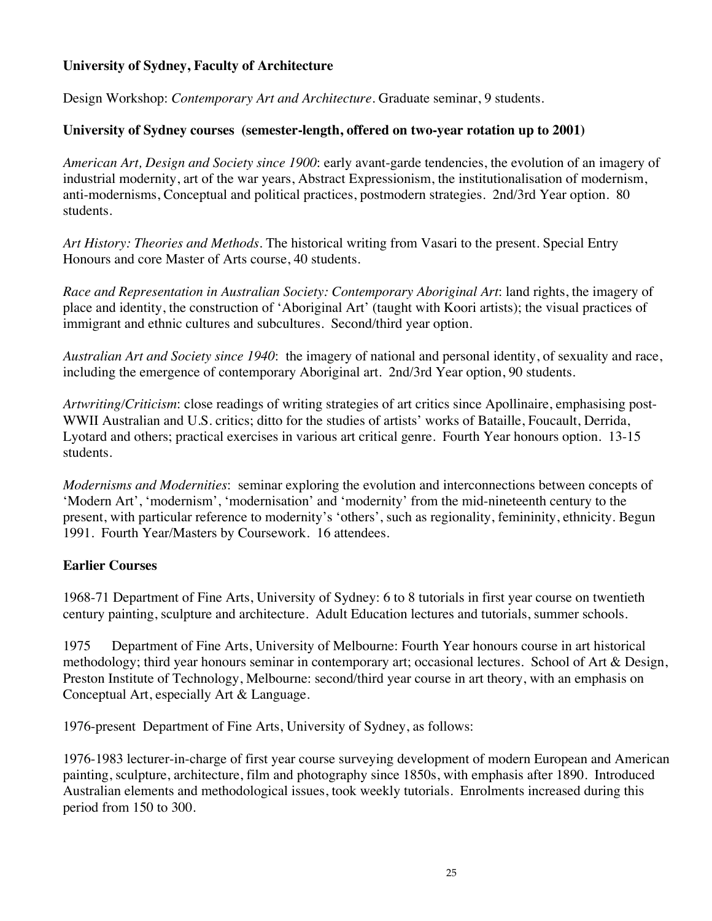## **University of Sydney, Faculty of Architecture**

Design Workshop: *Contemporary Art and Architecture*. Graduate seminar, 9 students.

## **University of Sydney courses (semester-length, offered on two-year rotation up to 2001)**

*American Art, Design and Society since 1900*: early avant-garde tendencies, the evolution of an imagery of industrial modernity, art of the war years, Abstract Expressionism, the institutionalisation of modernism, anti-modernisms, Conceptual and political practices, postmodern strategies. 2nd/3rd Year option. 80 students.

*Art History: Theories and Methods.* The historical writing from Vasari to the present. Special Entry Honours and core Master of Arts course, 40 students.

*Race and Representation in Australian Society: Contemporary Aboriginal Art*: land rights, the imagery of place and identity, the construction of 'Aboriginal Art' (taught with Koori artists); the visual practices of immigrant and ethnic cultures and subcultures. Second/third year option.

*Australian Art and Society since 1940*: the imagery of national and personal identity, of sexuality and race, including the emergence of contemporary Aboriginal art. 2nd/3rd Year option, 90 students.

*Artwriting/Criticism*: close readings of writing strategies of art critics since Apollinaire, emphasising post-WWII Australian and U.S. critics; ditto for the studies of artists' works of Bataille, Foucault, Derrida, Lyotard and others; practical exercises in various art critical genre. Fourth Year honours option. 13-15 students.

*Modernisms and Modernities*: seminar exploring the evolution and interconnections between concepts of 'Modern Art', 'modernism', 'modernisation' and 'modernity' from the mid-nineteenth century to the present, with particular reference to modernity's 'others', such as regionality, femininity, ethnicity. Begun 1991. Fourth Year/Masters by Coursework. 16 attendees.

## **Earlier Courses**

1968-71 Department of Fine Arts, University of Sydney: 6 to 8 tutorials in first year course on twentieth century painting, sculpture and architecture. Adult Education lectures and tutorials, summer schools.

1975 Department of Fine Arts, University of Melbourne: Fourth Year honours course in art historical methodology; third year honours seminar in contemporary art; occasional lectures. School of Art & Design, Preston Institute of Technology, Melbourne: second/third year course in art theory, with an emphasis on Conceptual Art, especially Art & Language.

1976-present Department of Fine Arts, University of Sydney, as follows:

1976-1983 lecturer-in-charge of first year course surveying development of modern European and American painting, sculpture, architecture, film and photography since 1850s, with emphasis after 1890. Introduced Australian elements and methodological issues, took weekly tutorials. Enrolments increased during this period from 150 to 300.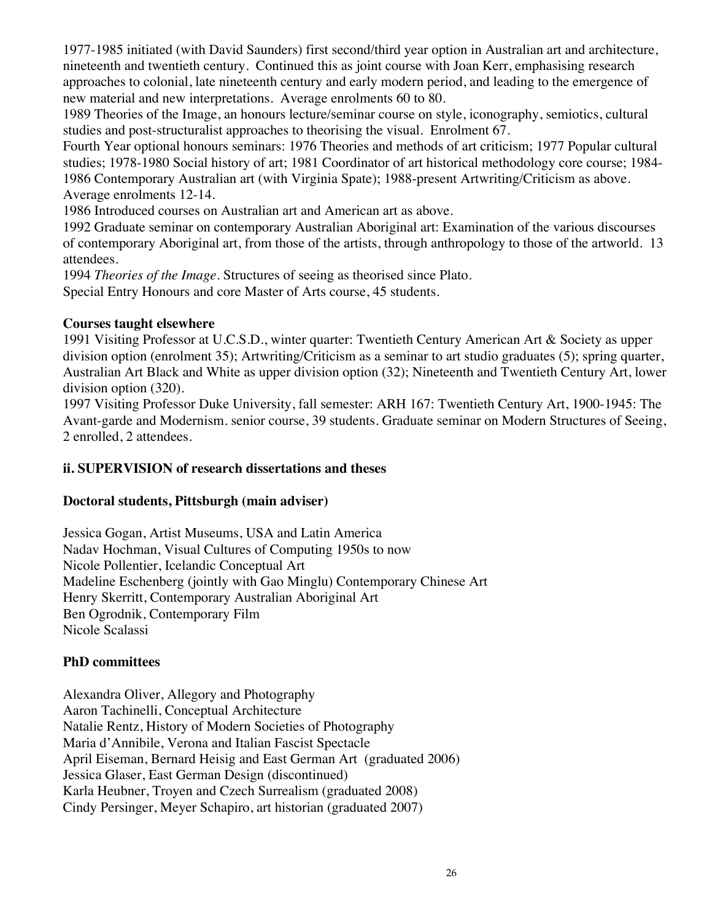1977-1985 initiated (with David Saunders) first second/third year option in Australian art and architecture, nineteenth and twentieth century. Continued this as joint course with Joan Kerr, emphasising research approaches to colonial, late nineteenth century and early modern period, and leading to the emergence of new material and new interpretations. Average enrolments 60 to 80.

1989 Theories of the Image, an honours lecture/seminar course on style, iconography, semiotics, cultural studies and post-structuralist approaches to theorising the visual. Enrolment 67.

Fourth Year optional honours seminars: 1976 Theories and methods of art criticism; 1977 Popular cultural studies; 1978-1980 Social history of art; 1981 Coordinator of art historical methodology core course; 1984- 1986 Contemporary Australian art (with Virginia Spate); 1988-present Artwriting/Criticism as above. Average enrolments 12-14.

1986 Introduced courses on Australian art and American art as above.

1992 Graduate seminar on contemporary Australian Aboriginal art: Examination of the various discourses of contemporary Aboriginal art, from those of the artists, through anthropology to those of the artworld. 13 attendees.

1994 *Theories of the Image*. Structures of seeing as theorised since Plato.

Special Entry Honours and core Master of Arts course, 45 students.

#### **Courses taught elsewhere**

1991 Visiting Professor at U.C.S.D., winter quarter: Twentieth Century American Art & Society as upper division option (enrolment 35); Artwriting/Criticism as a seminar to art studio graduates (5); spring quarter, Australian Art Black and White as upper division option (32); Nineteenth and Twentieth Century Art, lower division option (320).

1997 Visiting Professor Duke University, fall semester: ARH 167: Twentieth Century Art, 1900-1945: The Avant-garde and Modernism. senior course, 39 students. Graduate seminar on Modern Structures of Seeing, 2 enrolled, 2 attendees.

## **ii. SUPERVISION of research dissertations and theses**

## **Doctoral students, Pittsburgh (main adviser)**

Jessica Gogan, Artist Museums, USA and Latin America Nadav Hochman, Visual Cultures of Computing 1950s to now Nicole Pollentier, Icelandic Conceptual Art Madeline Eschenberg (jointly with Gao Minglu) Contemporary Chinese Art Henry Skerritt, Contemporary Australian Aboriginal Art Ben Ogrodnik, Contemporary Film Nicole Scalassi

## **PhD committees**

Alexandra Oliver, Allegory and Photography Aaron Tachinelli, Conceptual Architecture Natalie Rentz, History of Modern Societies of Photography Maria d'Annibile, Verona and Italian Fascist Spectacle April Eiseman, Bernard Heisig and East German Art (graduated 2006) Jessica Glaser, East German Design (discontinued) Karla Heubner, Troyen and Czech Surrealism (graduated 2008) Cindy Persinger, Meyer Schapiro, art historian (graduated 2007)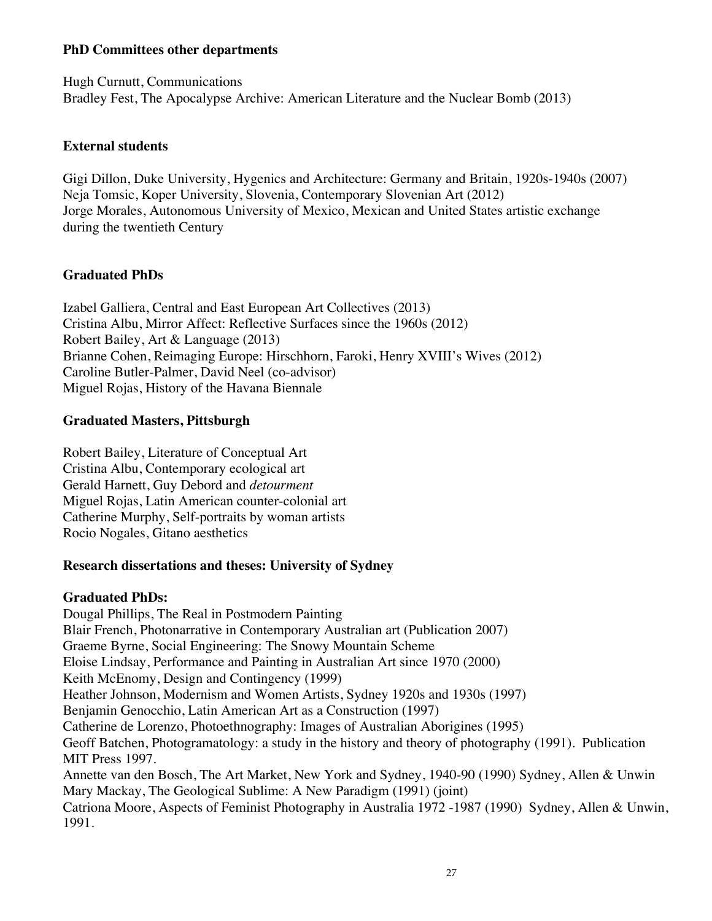#### **PhD Committees other departments**

Hugh Curnutt, Communications Bradley Fest, The Apocalypse Archive: American Literature and the Nuclear Bomb (2013)

#### **External students**

Gigi Dillon, Duke University, Hygenics and Architecture: Germany and Britain, 1920s-1940s (2007) Neja Tomsic, Koper University, Slovenia, Contemporary Slovenian Art (2012) Jorge Morales, Autonomous University of Mexico, Mexican and United States artistic exchange during the twentieth Century

## **Graduated PhDs**

Izabel Galliera, Central and East European Art Collectives (2013) Cristina Albu, Mirror Affect: Reflective Surfaces since the 1960s (2012) Robert Bailey, Art & Language (2013) Brianne Cohen, Reimaging Europe: Hirschhorn, Faroki, Henry XVIII's Wives (2012) Caroline Butler-Palmer, David Neel (co-advisor) Miguel Rojas, History of the Havana Biennale

#### **Graduated Masters, Pittsburgh**

Robert Bailey, Literature of Conceptual Art Cristina Albu, Contemporary ecological art Gerald Harnett, Guy Debord and *detourment* Miguel Rojas, Latin American counter-colonial art Catherine Murphy, Self-portraits by woman artists Rocio Nogales, Gitano aesthetics

## **Research dissertations and theses: University of Sydney**

#### **Graduated PhDs:**

Dougal Phillips, The Real in Postmodern Painting Blair French, Photonarrative in Contemporary Australian art (Publication 2007) Graeme Byrne, Social Engineering: The Snowy Mountain Scheme Eloise Lindsay, Performance and Painting in Australian Art since 1970 (2000) Keith McEnomy, Design and Contingency (1999) Heather Johnson, Modernism and Women Artists, Sydney 1920s and 1930s (1997) Benjamin Genocchio, Latin American Art as a Construction (1997) Catherine de Lorenzo, Photoethnography: Images of Australian Aborigines (1995) Geoff Batchen, Photogramatology: a study in the history and theory of photography (1991). Publication MIT Press 1997. Annette van den Bosch, The Art Market, New York and Sydney, 1940-90 (1990) Sydney, Allen & Unwin Mary Mackay, The Geological Sublime: A New Paradigm (1991) (joint) Catriona Moore, Aspects of Feminist Photography in Australia 1972 -1987 (1990) Sydney, Allen & Unwin, 1991.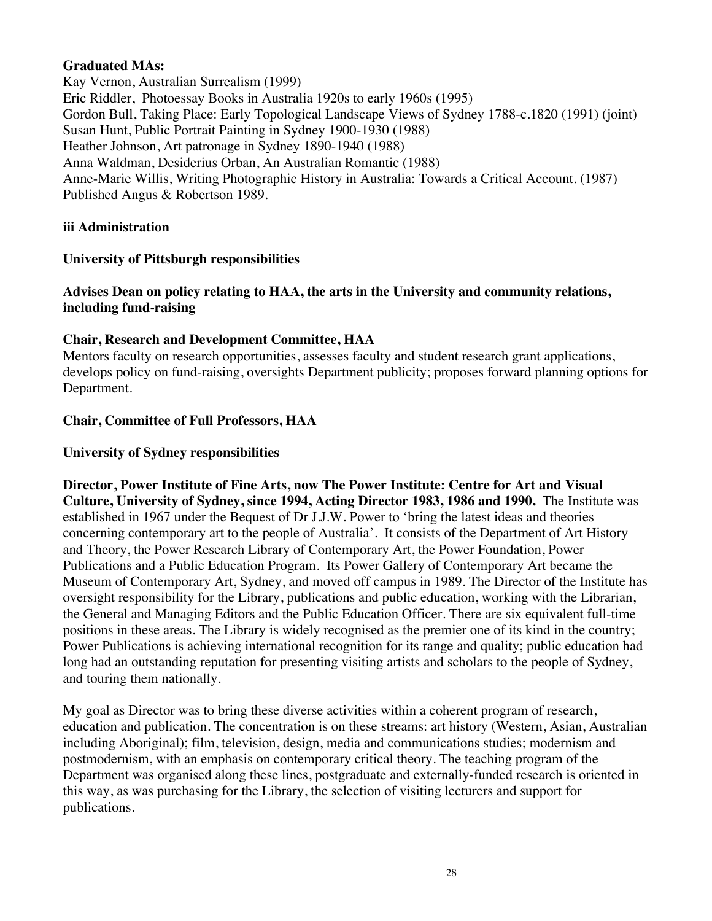#### **Graduated MAs:**

Kay Vernon, Australian Surrealism (1999) Eric Riddler, Photoessay Books in Australia 1920s to early 1960s (1995) Gordon Bull, Taking Place: Early Topological Landscape Views of Sydney 1788-c.1820 (1991) (joint) Susan Hunt, Public Portrait Painting in Sydney 1900-1930 (1988) Heather Johnson, Art patronage in Sydney 1890-1940 (1988) Anna Waldman, Desiderius Orban, An Australian Romantic (1988) Anne-Marie Willis, Writing Photographic History in Australia: Towards a Critical Account. (1987) Published Angus & Robertson 1989.

#### **iii Administration**

#### **University of Pittsburgh responsibilities**

#### **Advises Dean on policy relating to HAA, the arts in the University and community relations, including fund-raising**

#### **Chair, Research and Development Committee, HAA**

Mentors faculty on research opportunities, assesses faculty and student research grant applications, develops policy on fund-raising, oversights Department publicity; proposes forward planning options for Department.

#### **Chair, Committee of Full Professors, HAA**

#### **University of Sydney responsibilities**

**Director, Power Institute of Fine Arts, now The Power Institute: Centre for Art and Visual Culture, University of Sydney, since 1994, Acting Director 1983, 1986 and 1990.** The Institute was established in 1967 under the Bequest of Dr J.J.W. Power to 'bring the latest ideas and theories concerning contemporary art to the people of Australia'. It consists of the Department of Art History and Theory, the Power Research Library of Contemporary Art, the Power Foundation, Power Publications and a Public Education Program. Its Power Gallery of Contemporary Art became the Museum of Contemporary Art, Sydney, and moved off campus in 1989. The Director of the Institute has oversight responsibility for the Library, publications and public education, working with the Librarian, the General and Managing Editors and the Public Education Officer. There are six equivalent full-time positions in these areas. The Library is widely recognised as the premier one of its kind in the country; Power Publications is achieving international recognition for its range and quality; public education had long had an outstanding reputation for presenting visiting artists and scholars to the people of Sydney, and touring them nationally.

My goal as Director was to bring these diverse activities within a coherent program of research, education and publication. The concentration is on these streams: art history (Western, Asian, Australian including Aboriginal); film, television, design, media and communications studies; modernism and postmodernism, with an emphasis on contemporary critical theory. The teaching program of the Department was organised along these lines, postgraduate and externally-funded research is oriented in this way, as was purchasing for the Library, the selection of visiting lecturers and support for publications.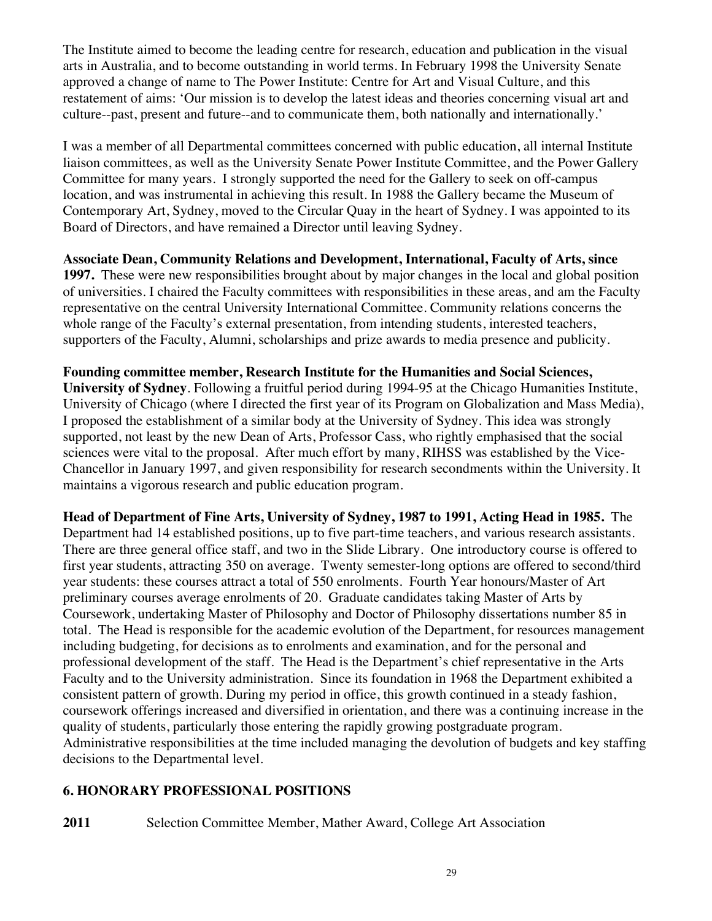The Institute aimed to become the leading centre for research, education and publication in the visual arts in Australia, and to become outstanding in world terms. In February 1998 the University Senate approved a change of name to The Power Institute: Centre for Art and Visual Culture, and this restatement of aims: 'Our mission is to develop the latest ideas and theories concerning visual art and culture--past, present and future--and to communicate them, both nationally and internationally.'

I was a member of all Departmental committees concerned with public education, all internal Institute liaison committees, as well as the University Senate Power Institute Committee, and the Power Gallery Committee for many years. I strongly supported the need for the Gallery to seek on off-campus location, and was instrumental in achieving this result. In 1988 the Gallery became the Museum of Contemporary Art, Sydney, moved to the Circular Quay in the heart of Sydney. I was appointed to its Board of Directors, and have remained a Director until leaving Sydney.

**Associate Dean, Community Relations and Development, International, Faculty of Arts, since 1997.** These were new responsibilities brought about by major changes in the local and global position of universities. I chaired the Faculty committees with responsibilities in these areas, and am the Faculty representative on the central University International Committee. Community relations concerns the whole range of the Faculty's external presentation, from intending students, interested teachers, supporters of the Faculty, Alumni, scholarships and prize awards to media presence and publicity.

**Founding committee member, Research Institute for the Humanities and Social Sciences, University of Sydney**. Following a fruitful period during 1994-95 at the Chicago Humanities Institute, University of Chicago (where I directed the first year of its Program on Globalization and Mass Media), I proposed the establishment of a similar body at the University of Sydney. This idea was strongly supported, not least by the new Dean of Arts, Professor Cass, who rightly emphasised that the social sciences were vital to the proposal. After much effort by many, RIHSS was established by the Vice-Chancellor in January 1997, and given responsibility for research secondments within the University. It maintains a vigorous research and public education program.

**Head of Department of Fine Arts, University of Sydney, 1987 to 1991, Acting Head in 1985.** The Department had 14 established positions, up to five part-time teachers, and various research assistants. There are three general office staff, and two in the Slide Library. One introductory course is offered to first year students, attracting 350 on average. Twenty semester-long options are offered to second/third year students: these courses attract a total of 550 enrolments. Fourth Year honours/Master of Art preliminary courses average enrolments of 20. Graduate candidates taking Master of Arts by Coursework, undertaking Master of Philosophy and Doctor of Philosophy dissertations number 85 in total. The Head is responsible for the academic evolution of the Department, for resources management including budgeting, for decisions as to enrolments and examination, and for the personal and professional development of the staff. The Head is the Department's chief representative in the Arts Faculty and to the University administration. Since its foundation in 1968 the Department exhibited a consistent pattern of growth. During my period in office, this growth continued in a steady fashion, coursework offerings increased and diversified in orientation, and there was a continuing increase in the quality of students, particularly those entering the rapidly growing postgraduate program. Administrative responsibilities at the time included managing the devolution of budgets and key staffing decisions to the Departmental level.

# **6. HONORARY PROFESSIONAL POSITIONS**

**2011** Selection Committee Member, Mather Award, College Art Association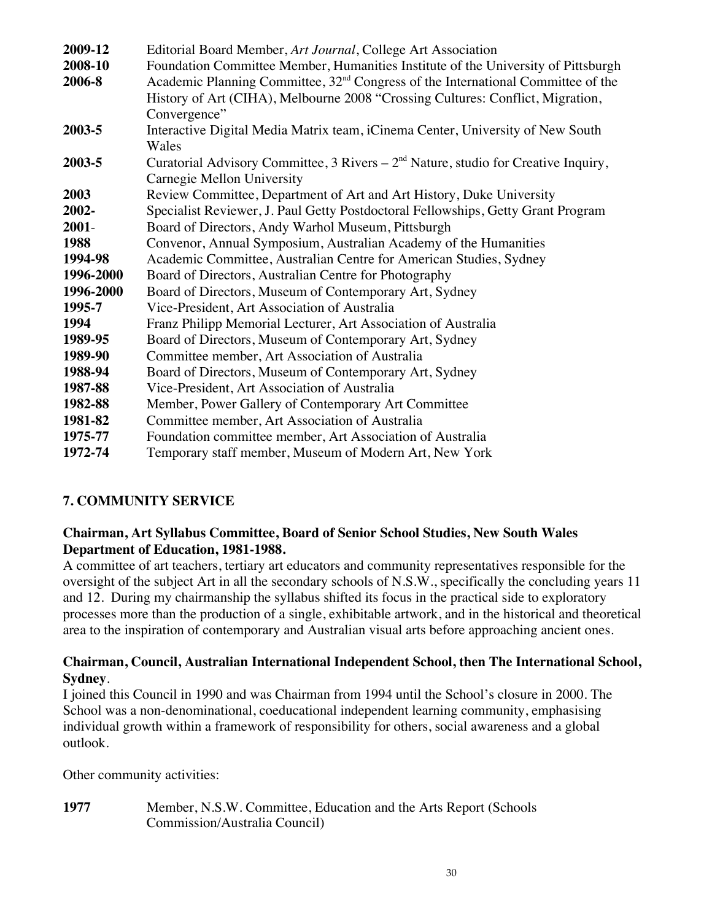| 2009-12   | Editorial Board Member, Art Journal, College Art Association                                 |
|-----------|----------------------------------------------------------------------------------------------|
| 2008-10   | Foundation Committee Member, Humanities Institute of the University of Pittsburgh            |
| 2006-8    | Academic Planning Committee, 32 <sup>nd</sup> Congress of the International Committee of the |
|           | History of Art (CIHA), Melbourne 2008 "Crossing Cultures: Conflict, Migration,               |
|           | Convergence"                                                                                 |
| 2003-5    | Interactive Digital Media Matrix team, iCinema Center, University of New South               |
|           | Wales                                                                                        |
| 2003-5    | Curatorial Advisory Committee, 3 Rivers $-2nd$ Nature, studio for Creative Inquiry,          |
|           | Carnegie Mellon University                                                                   |
| 2003      | Review Committee, Department of Art and Art History, Duke University                         |
| 2002-     | Specialist Reviewer, J. Paul Getty Postdoctoral Fellowships, Getty Grant Program             |
| $2001 -$  | Board of Directors, Andy Warhol Museum, Pittsburgh                                           |
| 1988      | Convenor, Annual Symposium, Australian Academy of the Humanities                             |
| 1994-98   | Academic Committee, Australian Centre for American Studies, Sydney                           |
| 1996-2000 | Board of Directors, Australian Centre for Photography                                        |
| 1996-2000 | Board of Directors, Museum of Contemporary Art, Sydney                                       |
| 1995-7    | Vice-President, Art Association of Australia                                                 |
| 1994      | Franz Philipp Memorial Lecturer, Art Association of Australia                                |
| 1989-95   | Board of Directors, Museum of Contemporary Art, Sydney                                       |
| 1989-90   | Committee member, Art Association of Australia                                               |
| 1988-94   | Board of Directors, Museum of Contemporary Art, Sydney                                       |
| 1987-88   | Vice-President, Art Association of Australia                                                 |
| 1982-88   | Member, Power Gallery of Contemporary Art Committee                                          |
| 1981-82   | Committee member, Art Association of Australia                                               |
| 1975-77   | Foundation committee member, Art Association of Australia                                    |
| 1972-74   | Temporary staff member, Museum of Modern Art, New York                                       |

## **7. COMMUNITY SERVICE**

#### **Chairman, Art Syllabus Committee, Board of Senior School Studies, New South Wales Department of Education, 1981-1988.**

A committee of art teachers, tertiary art educators and community representatives responsible for the oversight of the subject Art in all the secondary schools of N.S.W., specifically the concluding years 11 and 12. During my chairmanship the syllabus shifted its focus in the practical side to exploratory processes more than the production of a single, exhibitable artwork, and in the historical and theoretical area to the inspiration of contemporary and Australian visual arts before approaching ancient ones.

#### **Chairman, Council, Australian International Independent School, then The International School, Sydney**.

I joined this Council in 1990 and was Chairman from 1994 until the School's closure in 2000. The School was a non-denominational, coeducational independent learning community, emphasising individual growth within a framework of responsibility for others, social awareness and a global outlook.

Other community activities:

**1977** Member, N.S.W. Committee, Education and the Arts Report (Schools Commission/Australia Council)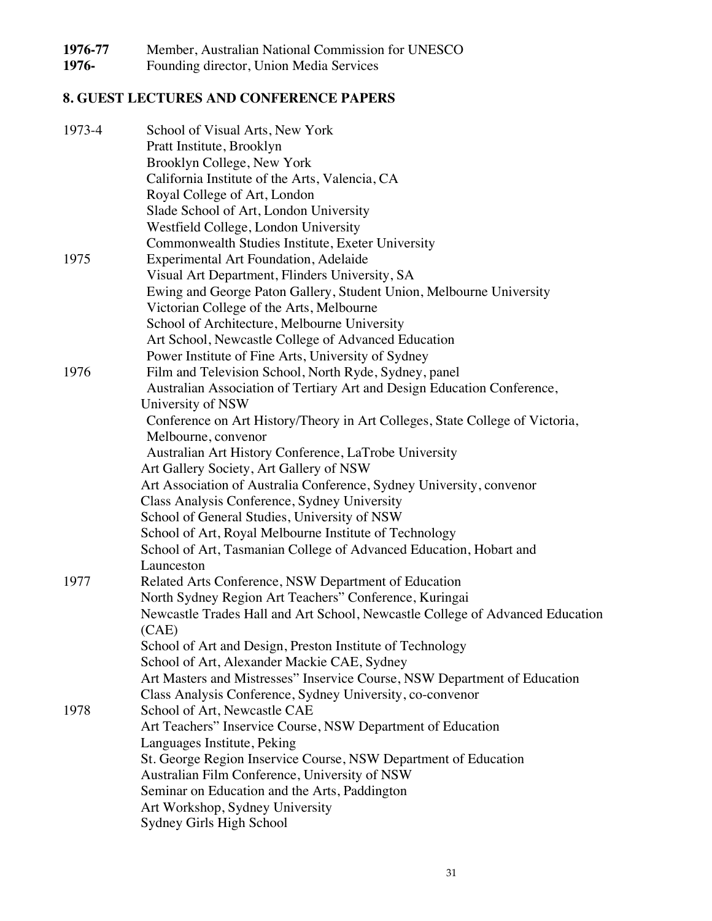1976-77 Member, Australian National Commission for UNESCO<br>1976- Founding director, Union Media Services

**1976-** Founding director, Union Media Services

# **8. GUEST LECTURES AND CONFERENCE PAPERS**

| School of Visual Arts, New York                                               |
|-------------------------------------------------------------------------------|
| Pratt Institute, Brooklyn                                                     |
| Brooklyn College, New York                                                    |
| California Institute of the Arts, Valencia, CA                                |
| Royal College of Art, London                                                  |
| Slade School of Art, London University                                        |
| Westfield College, London University                                          |
| Commonwealth Studies Institute, Exeter University                             |
| <b>Experimental Art Foundation, Adelaide</b>                                  |
| Visual Art Department, Flinders University, SA                                |
| Ewing and George Paton Gallery, Student Union, Melbourne University           |
| Victorian College of the Arts, Melbourne                                      |
| School of Architecture, Melbourne University                                  |
| Art School, Newcastle College of Advanced Education                           |
| Power Institute of Fine Arts, University of Sydney                            |
| Film and Television School, North Ryde, Sydney, panel                         |
| Australian Association of Tertiary Art and Design Education Conference,       |
| University of NSW                                                             |
| Conference on Art History/Theory in Art Colleges, State College of Victoria,  |
| Melbourne, convenor                                                           |
| Australian Art History Conference, LaTrobe University                         |
| Art Gallery Society, Art Gallery of NSW                                       |
| Art Association of Australia Conference, Sydney University, convenor          |
| Class Analysis Conference, Sydney University                                  |
| School of General Studies, University of NSW                                  |
| School of Art, Royal Melbourne Institute of Technology                        |
| School of Art, Tasmanian College of Advanced Education, Hobart and            |
| Launceston                                                                    |
| Related Arts Conference, NSW Department of Education                          |
| North Sydney Region Art Teachers" Conference, Kuringai                        |
| Newcastle Trades Hall and Art School, Newcastle College of Advanced Education |
| (CAE)                                                                         |
| School of Art and Design, Preston Institute of Technology                     |
| School of Art, Alexander Mackie CAE, Sydney                                   |
| Art Masters and Mistresses" Inservice Course, NSW Department of Education     |
| Class Analysis Conference, Sydney University, co-convenor                     |
| School of Art, Newcastle CAE                                                  |
| Art Teachers" Inservice Course, NSW Department of Education                   |
| Languages Institute, Peking                                                   |
| St. George Region Inservice Course, NSW Department of Education               |
| Australian Film Conference, University of NSW                                 |
| Seminar on Education and the Arts, Paddington                                 |
|                                                                               |
| Art Workshop, Sydney University                                               |
|                                                                               |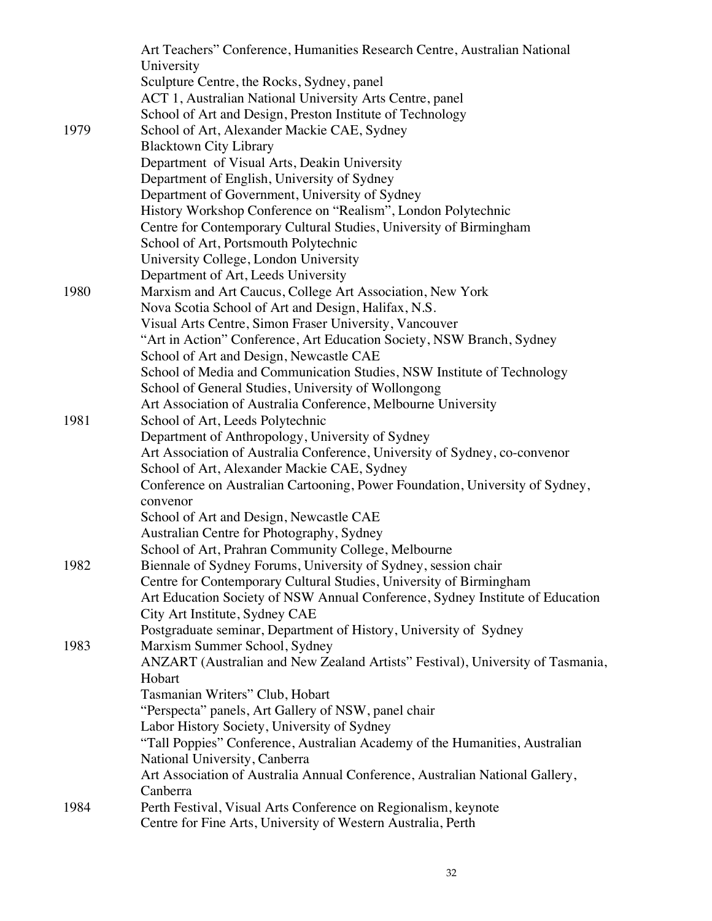|      | Art Teachers" Conference, Humanities Research Centre, Australian National      |
|------|--------------------------------------------------------------------------------|
|      | University                                                                     |
|      | Sculpture Centre, the Rocks, Sydney, panel                                     |
|      | ACT 1, Australian National University Arts Centre, panel                       |
|      | School of Art and Design, Preston Institute of Technology                      |
| 1979 | School of Art, Alexander Mackie CAE, Sydney                                    |
|      | <b>Blacktown City Library</b>                                                  |
|      | Department of Visual Arts, Deakin University                                   |
|      | Department of English, University of Sydney                                    |
|      | Department of Government, University of Sydney                                 |
|      | History Workshop Conference on "Realism", London Polytechnic                   |
|      | Centre for Contemporary Cultural Studies, University of Birmingham             |
|      | School of Art, Portsmouth Polytechnic                                          |
|      | University College, London University                                          |
|      | Department of Art, Leeds University                                            |
| 1980 | Marxism and Art Caucus, College Art Association, New York                      |
|      | Nova Scotia School of Art and Design, Halifax, N.S.                            |
|      | Visual Arts Centre, Simon Fraser University, Vancouver                         |
|      | "Art in Action" Conference, Art Education Society, NSW Branch, Sydney          |
|      | School of Art and Design, Newcastle CAE                                        |
|      | School of Media and Communication Studies, NSW Institute of Technology         |
|      | School of General Studies, University of Wollongong                            |
|      | Art Association of Australia Conference, Melbourne University                  |
| 1981 | School of Art, Leeds Polytechnic                                               |
|      | Department of Anthropology, University of Sydney                               |
|      | Art Association of Australia Conference, University of Sydney, co-convenor     |
|      | School of Art, Alexander Mackie CAE, Sydney                                    |
|      | Conference on Australian Cartooning, Power Foundation, University of Sydney,   |
|      | convenor                                                                       |
|      | School of Art and Design, Newcastle CAE                                        |
|      | Australian Centre for Photography, Sydney                                      |
|      | School of Art, Prahran Community College, Melbourne                            |
| 1982 | Biennale of Sydney Forums, University of Sydney, session chair                 |
|      | Centre for Contemporary Cultural Studies, University of Birmingham             |
|      | Art Education Society of NSW Annual Conference, Sydney Institute of Education  |
|      | City Art Institute, Sydney CAE                                                 |
|      | Postgraduate seminar, Department of History, University of Sydney              |
| 1983 | Marxism Summer School, Sydney                                                  |
|      | ANZART (Australian and New Zealand Artists" Festival), University of Tasmania, |
|      | Hobart                                                                         |
|      | Tasmanian Writers" Club, Hobart                                                |
|      | "Perspecta" panels, Art Gallery of NSW, panel chair                            |
|      | Labor History Society, University of Sydney                                    |
|      | "Tall Poppies" Conference, Australian Academy of the Humanities, Australian    |
|      | National University, Canberra                                                  |
|      | Art Association of Australia Annual Conference, Australian National Gallery,   |
|      | Canberra                                                                       |
| 1984 | Perth Festival, Visual Arts Conference on Regionalism, keynote                 |
|      | Centre for Fine Arts, University of Western Australia, Perth                   |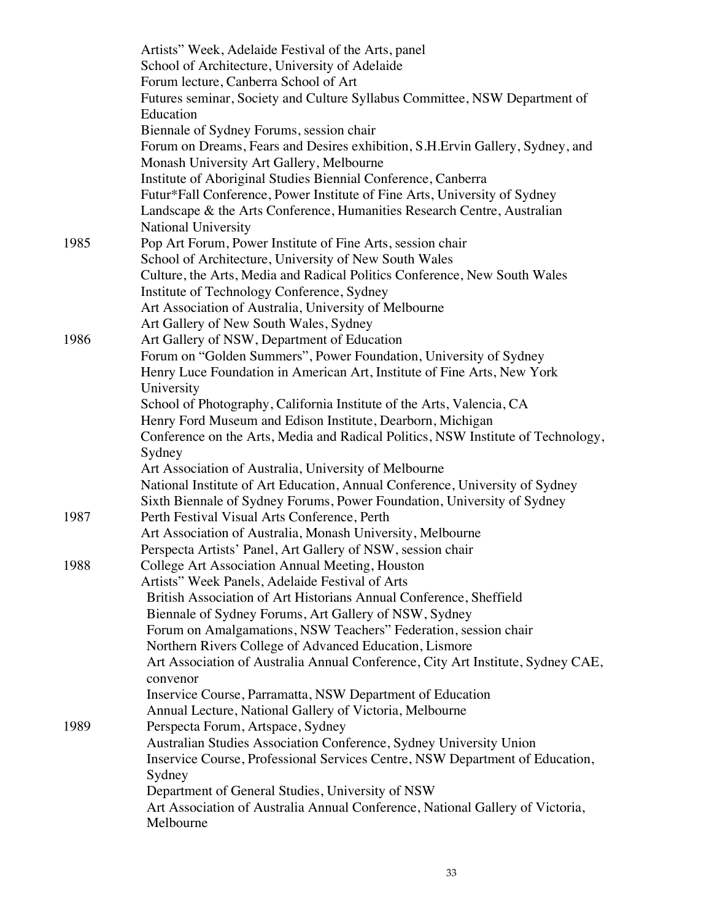|      | Artists" Week, Adelaide Festival of the Arts, panel                                         |
|------|---------------------------------------------------------------------------------------------|
|      | School of Architecture, University of Adelaide                                              |
|      | Forum lecture, Canberra School of Art                                                       |
|      | Futures seminar, Society and Culture Syllabus Committee, NSW Department of                  |
|      | Education                                                                                   |
|      | Biennale of Sydney Forums, session chair                                                    |
|      | Forum on Dreams, Fears and Desires exhibition, S.H.Ervin Gallery, Sydney, and               |
|      | Monash University Art Gallery, Melbourne                                                    |
|      | Institute of Aboriginal Studies Biennial Conference, Canberra                               |
|      | Futur*Fall Conference, Power Institute of Fine Arts, University of Sydney                   |
|      | Landscape & the Arts Conference, Humanities Research Centre, Australian                     |
|      | <b>National University</b>                                                                  |
| 1985 | Pop Art Forum, Power Institute of Fine Arts, session chair                                  |
|      | School of Architecture, University of New South Wales                                       |
|      | Culture, the Arts, Media and Radical Politics Conference, New South Wales                   |
|      | Institute of Technology Conference, Sydney                                                  |
|      | Art Association of Australia, University of Melbourne                                       |
|      | Art Gallery of New South Wales, Sydney                                                      |
| 1986 | Art Gallery of NSW, Department of Education                                                 |
|      | Forum on "Golden Summers", Power Foundation, University of Sydney                           |
|      | Henry Luce Foundation in American Art, Institute of Fine Arts, New York                     |
|      | University                                                                                  |
|      | School of Photography, California Institute of the Arts, Valencia, CA                       |
|      | Henry Ford Museum and Edison Institute, Dearborn, Michigan                                  |
|      | Conference on the Arts, Media and Radical Politics, NSW Institute of Technology,            |
|      | Sydney                                                                                      |
|      | Art Association of Australia, University of Melbourne                                       |
|      | National Institute of Art Education, Annual Conference, University of Sydney                |
|      | Sixth Biennale of Sydney Forums, Power Foundation, University of Sydney                     |
| 1987 | Perth Festival Visual Arts Conference, Perth                                                |
|      | Art Association of Australia, Monash University, Melbourne                                  |
|      | Perspecta Artists' Panel, Art Gallery of NSW, session chair                                 |
| 1988 | College Art Association Annual Meeting, Houston                                             |
|      | Artists" Week Panels, Adelaide Festival of Arts                                             |
|      | British Association of Art Historians Annual Conference, Sheffield                          |
|      | Biennale of Sydney Forums, Art Gallery of NSW, Sydney                                       |
|      | Forum on Amalgamations, NSW Teachers" Federation, session chair                             |
|      | Northern Rivers College of Advanced Education, Lismore                                      |
|      | Art Association of Australia Annual Conference, City Art Institute, Sydney CAE,<br>convenor |
|      | Inservice Course, Parramatta, NSW Department of Education                                   |
|      | Annual Lecture, National Gallery of Victoria, Melbourne                                     |
| 1989 | Perspecta Forum, Artspace, Sydney                                                           |
|      | Australian Studies Association Conference, Sydney University Union                          |
|      | Inservice Course, Professional Services Centre, NSW Department of Education,                |
|      | Sydney                                                                                      |
|      | Department of General Studies, University of NSW                                            |
|      | Art Association of Australia Annual Conference, National Gallery of Victoria,               |
|      | Melbourne                                                                                   |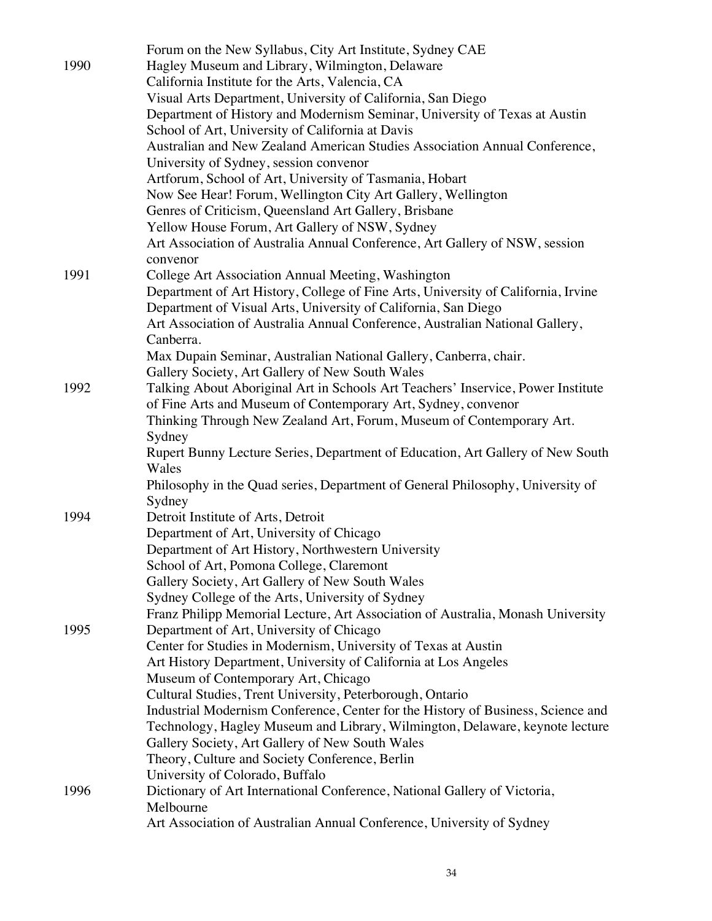|      | Forum on the New Syllabus, City Art Institute, Sydney CAE                         |
|------|-----------------------------------------------------------------------------------|
| 1990 | Hagley Museum and Library, Wilmington, Delaware                                   |
|      | California Institute for the Arts, Valencia, CA                                   |
|      | Visual Arts Department, University of California, San Diego                       |
|      | Department of History and Modernism Seminar, University of Texas at Austin        |
|      | School of Art, University of California at Davis                                  |
|      | Australian and New Zealand American Studies Association Annual Conference,        |
|      | University of Sydney, session convenor                                            |
|      | Artforum, School of Art, University of Tasmania, Hobart                           |
|      | Now See Hear! Forum, Wellington City Art Gallery, Wellington                      |
|      | Genres of Criticism, Queensland Art Gallery, Brisbane                             |
|      | Yellow House Forum, Art Gallery of NSW, Sydney                                    |
|      | Art Association of Australia Annual Conference, Art Gallery of NSW, session       |
|      | convenor                                                                          |
| 1991 | College Art Association Annual Meeting, Washington                                |
|      | Department of Art History, College of Fine Arts, University of California, Irvine |
|      | Department of Visual Arts, University of California, San Diego                    |
|      | Art Association of Australia Annual Conference, Australian National Gallery,      |
|      | Canberra.                                                                         |
|      | Max Dupain Seminar, Australian National Gallery, Canberra, chair.                 |
|      | Gallery Society, Art Gallery of New South Wales                                   |
| 1992 | Talking About Aboriginal Art in Schools Art Teachers' Inservice, Power Institute  |
|      | of Fine Arts and Museum of Contemporary Art, Sydney, convenor                     |
|      | Thinking Through New Zealand Art, Forum, Museum of Contemporary Art.              |
|      | Sydney                                                                            |
|      | Rupert Bunny Lecture Series, Department of Education, Art Gallery of New South    |
|      | Wales                                                                             |
|      | Philosophy in the Quad series, Department of General Philosophy, University of    |
|      | Sydney                                                                            |
| 1994 | Detroit Institute of Arts, Detroit                                                |
|      | Department of Art, University of Chicago                                          |
|      | Department of Art History, Northwestern University                                |
|      | School of Art, Pomona College, Claremont                                          |
|      | Gallery Society, Art Gallery of New South Wales                                   |
|      | Sydney College of the Arts, University of Sydney                                  |
|      | Franz Philipp Memorial Lecture, Art Association of Australia, Monash University   |
| 1995 | Department of Art, University of Chicago                                          |
|      | Center for Studies in Modernism, University of Texas at Austin                    |
|      | Art History Department, University of California at Los Angeles                   |
|      | Museum of Contemporary Art, Chicago                                               |
|      | Cultural Studies, Trent University, Peterborough, Ontario                         |
|      | Industrial Modernism Conference, Center for the History of Business, Science and  |
|      | Technology, Hagley Museum and Library, Wilmington, Delaware, keynote lecture      |
|      | Gallery Society, Art Gallery of New South Wales                                   |
|      | Theory, Culture and Society Conference, Berlin                                    |
|      | University of Colorado, Buffalo                                                   |
| 1996 | Dictionary of Art International Conference, National Gallery of Victoria,         |
|      | Melbourne                                                                         |
|      | Art Association of Australian Annual Conference, University of Sydney             |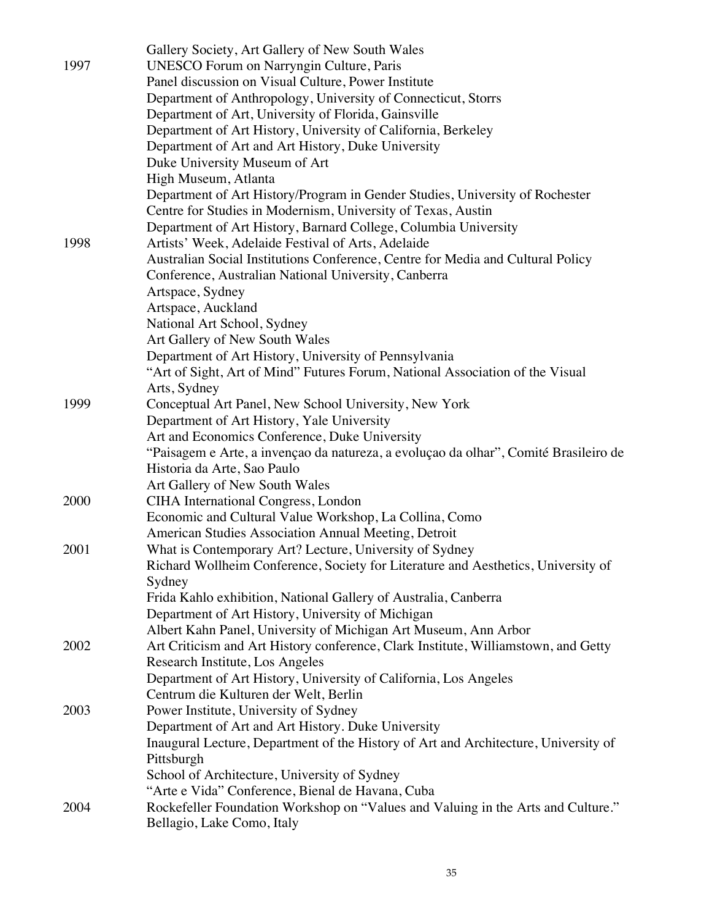| Department of Art History/Program in Gender Studies, University of Rochester         |
|--------------------------------------------------------------------------------------|
|                                                                                      |
|                                                                                      |
|                                                                                      |
| Australian Social Institutions Conference, Centre for Media and Cultural Policy      |
|                                                                                      |
|                                                                                      |
|                                                                                      |
|                                                                                      |
|                                                                                      |
|                                                                                      |
| "Art of Sight, Art of Mind" Futures Forum, National Association of the Visual        |
|                                                                                      |
|                                                                                      |
|                                                                                      |
|                                                                                      |
| "Paisagem e Arte, a invençao da natureza, a evoluçao da olhar", Comité Brasileiro de |
|                                                                                      |
|                                                                                      |
|                                                                                      |
|                                                                                      |
|                                                                                      |
|                                                                                      |
| Richard Wollheim Conference, Society for Literature and Aesthetics, University of    |
|                                                                                      |
|                                                                                      |
|                                                                                      |
|                                                                                      |
| Art Criticism and Art History conference, Clark Institute, Williamstown, and Getty   |
|                                                                                      |
|                                                                                      |
|                                                                                      |
|                                                                                      |
| Inaugural Lecture, Department of the History of Art and Architecture, University of  |
|                                                                                      |
|                                                                                      |
|                                                                                      |
| Rockefeller Foundation Workshop on "Values and Valuing in the Arts and Culture."     |
|                                                                                      |
|                                                                                      |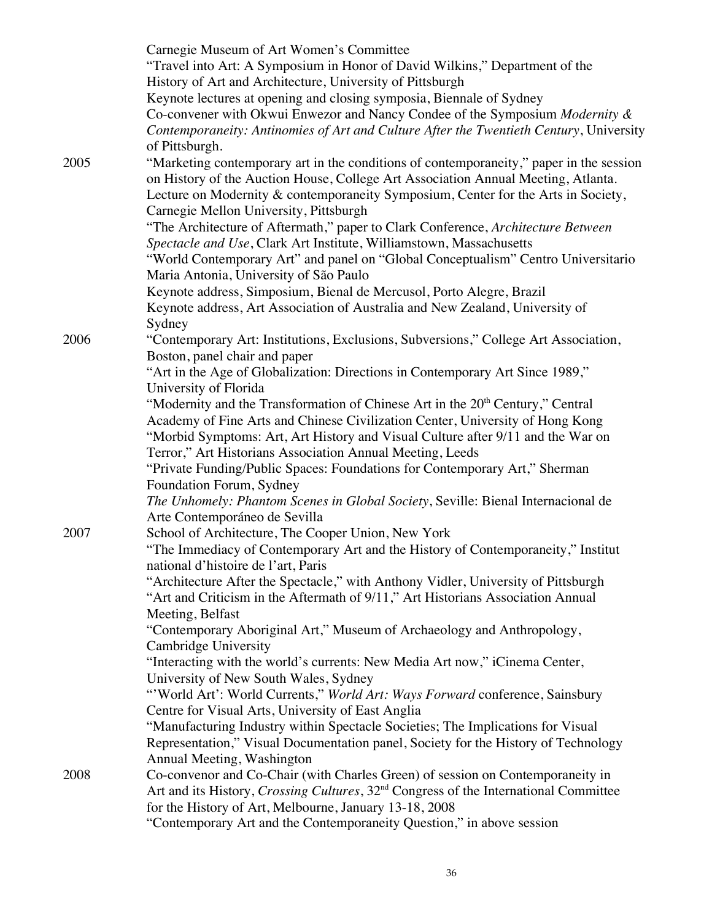|      | Carnegie Museum of Art Women's Committee                                                                 |
|------|----------------------------------------------------------------------------------------------------------|
|      | "Travel into Art: A Symposium in Honor of David Wilkins," Department of the                              |
|      | History of Art and Architecture, University of Pittsburgh                                                |
|      | Keynote lectures at opening and closing symposia, Biennale of Sydney                                     |
|      | Co-convener with Okwui Enwezor and Nancy Condee of the Symposium Modernity &                             |
|      | Contemporaneity: Antinomies of Art and Culture After the Twentieth Century, University                   |
|      | of Pittsburgh.                                                                                           |
| 2005 | "Marketing contemporary art in the conditions of contemporaneity," paper in the session                  |
|      | on History of the Auction House, College Art Association Annual Meeting, Atlanta.                        |
|      | Lecture on Modernity & contemporaneity Symposium, Center for the Arts in Society,                        |
|      | Carnegie Mellon University, Pittsburgh                                                                   |
|      | "The Architecture of Aftermath," paper to Clark Conference, Architecture Between                         |
|      | Spectacle and Use, Clark Art Institute, Williamstown, Massachusetts                                      |
|      | "World Contemporary Art" and panel on "Global Conceptualism" Centro Universitario                        |
|      | Maria Antonia, University of São Paulo                                                                   |
|      | Keynote address, Simposium, Bienal de Mercusol, Porto Alegre, Brazil                                     |
|      | Keynote address, Art Association of Australia and New Zealand, University of                             |
|      | Sydney                                                                                                   |
| 2006 | "Contemporary Art: Institutions, Exclusions, Subversions," College Art Association,                      |
|      | Boston, panel chair and paper                                                                            |
|      | "Art in the Age of Globalization: Directions in Contemporary Art Since 1989,"                            |
|      | University of Florida                                                                                    |
|      | "Modernity and the Transformation of Chinese Art in the 20 <sup>th</sup> Century," Central               |
|      | Academy of Fine Arts and Chinese Civilization Center, University of Hong Kong                            |
|      | "Morbid Symptoms: Art, Art History and Visual Culture after 9/11 and the War on                          |
|      | Terror," Art Historians Association Annual Meeting, Leeds                                                |
|      | "Private Funding/Public Spaces: Foundations for Contemporary Art," Sherman                               |
|      | Foundation Forum, Sydney                                                                                 |
|      | The Unhomely: Phantom Scenes in Global Society, Seville: Bienal Internacional de                         |
|      | Arte Contemporáneo de Sevilla                                                                            |
| 2007 | School of Architecture, The Cooper Union, New York                                                       |
|      | "The Immediacy of Contemporary Art and the History of Contemporaneity," Institut                         |
|      | national d'histoire de l'art, Paris                                                                      |
|      | "Architecture After the Spectacle," with Anthony Vidler, University of Pittsburgh                        |
|      | "Art and Criticism in the Aftermath of 9/11," Art Historians Association Annual<br>Meeting, Belfast      |
|      | "Contemporary Aboriginal Art," Museum of Archaeology and Anthropology,                                   |
|      | Cambridge University                                                                                     |
|      | "Interacting with the world's currents: New Media Art now," iCinema Center,                              |
|      | University of New South Wales, Sydney                                                                    |
|      | "World Art': World Currents," World Art: Ways Forward conference, Sainsbury                              |
|      | Centre for Visual Arts, University of East Anglia                                                        |
|      | "Manufacturing Industry within Spectacle Societies; The Implications for Visual                          |
|      | Representation," Visual Documentation panel, Society for the History of Technology                       |
|      | Annual Meeting, Washington                                                                               |
| 2008 | Co-convenor and Co-Chair (with Charles Green) of session on Contemporaneity in                           |
|      | Art and its History, <i>Crossing Cultures</i> , 32 <sup>nd</sup> Congress of the International Committee |
|      | for the History of Art, Melbourne, January 13-18, 2008                                                   |
|      | "Contemporary Art and the Contemporaneity Question," in above session                                    |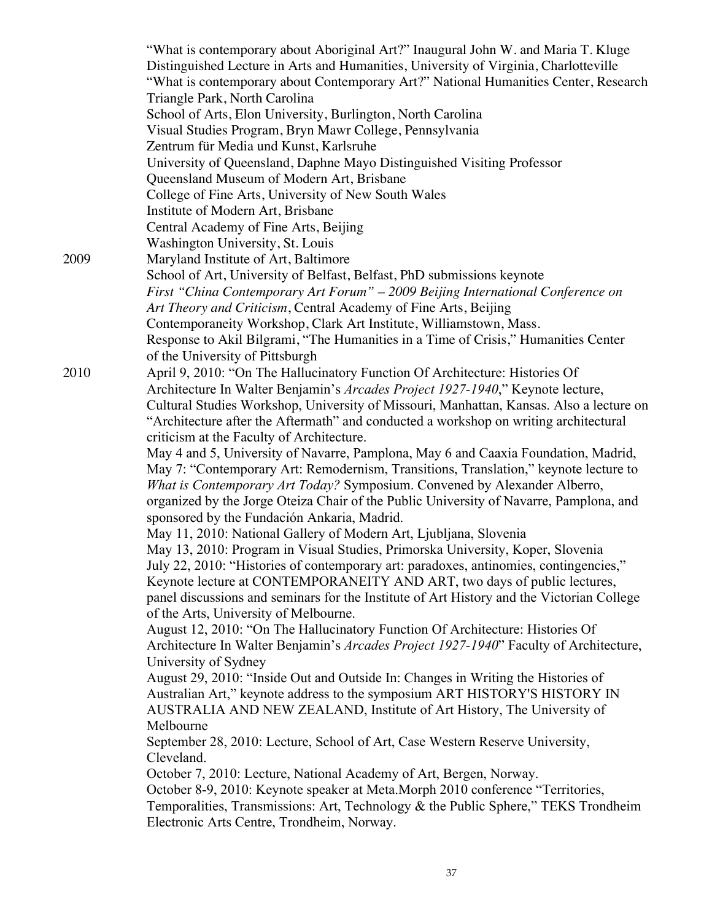|      | "What is contemporary about Aboriginal Art?" Inaugural John W. and Maria T. Kluge                                                     |
|------|---------------------------------------------------------------------------------------------------------------------------------------|
|      | Distinguished Lecture in Arts and Humanities, University of Virginia, Charlotteville                                                  |
|      | "What is contemporary about Contemporary Art?" National Humanities Center, Research                                                   |
|      | Triangle Park, North Carolina                                                                                                         |
|      | School of Arts, Elon University, Burlington, North Carolina                                                                           |
|      | Visual Studies Program, Bryn Mawr College, Pennsylvania                                                                               |
|      | Zentrum für Media und Kunst, Karlsruhe                                                                                                |
|      | University of Queensland, Daphne Mayo Distinguished Visiting Professor                                                                |
|      | Queensland Museum of Modern Art, Brisbane                                                                                             |
|      | College of Fine Arts, University of New South Wales                                                                                   |
|      | Institute of Modern Art, Brisbane                                                                                                     |
|      | Central Academy of Fine Arts, Beijing                                                                                                 |
|      | Washington University, St. Louis                                                                                                      |
| 2009 | Maryland Institute of Art, Baltimore                                                                                                  |
|      | School of Art, University of Belfast, Belfast, PhD submissions keynote                                                                |
|      | First "China Contemporary Art Forum" - 2009 Beijing International Conference on                                                       |
|      | Art Theory and Criticism, Central Academy of Fine Arts, Beijing                                                                       |
|      | Contemporaneity Workshop, Clark Art Institute, Williamstown, Mass.                                                                    |
|      | Response to Akil Bilgrami, "The Humanities in a Time of Crisis," Humanities Center                                                    |
|      | of the University of Pittsburgh                                                                                                       |
| 2010 | April 9, 2010: "On The Hallucinatory Function Of Architecture: Histories Of                                                           |
|      | Architecture In Walter Benjamin's Arcades Project 1927-1940," Keynote lecture,                                                        |
|      |                                                                                                                                       |
|      | Cultural Studies Workshop, University of Missouri, Manhattan, Kansas. Also a lecture on                                               |
|      | "Architecture after the Aftermath" and conducted a workshop on writing architectural                                                  |
|      | criticism at the Faculty of Architecture.<br>May 4 and 5, University of Navarre, Pamplona, May 6 and Caaxia Foundation, Madrid,       |
|      | May 7: "Contemporary Art: Remodernism, Transitions, Translation," keynote lecture to                                                  |
|      | What is Contemporary Art Today? Symposium. Convened by Alexander Alberro,                                                             |
|      |                                                                                                                                       |
|      | organized by the Jorge Oteiza Chair of the Public University of Navarre, Pamplona, and<br>sponsored by the Fundación Ankaria, Madrid. |
|      | May 11, 2010: National Gallery of Modern Art, Ljubljana, Slovenia                                                                     |
|      |                                                                                                                                       |
|      | May 13, 2010: Program in Visual Studies, Primorska University, Koper, Slovenia                                                        |
|      | July 22, 2010: "Histories of contemporary art: paradoxes, antinomies, contingencies,"                                                 |
|      | Keynote lecture at CONTEMPORANEITY AND ART, two days of public lectures,                                                              |
|      | panel discussions and seminars for the Institute of Art History and the Victorian College                                             |
|      | of the Arts, University of Melbourne.                                                                                                 |
|      | August 12, 2010: "On The Hallucinatory Function Of Architecture: Histories Of                                                         |
|      | Architecture In Walter Benjamin's Arcades Project 1927-1940" Faculty of Architecture,                                                 |
|      | University of Sydney                                                                                                                  |
|      | August 29, 2010: "Inside Out and Outside In: Changes in Writing the Histories of                                                      |
|      | Australian Art," keynote address to the symposium ART HISTORY'S HISTORY IN                                                            |
|      | AUSTRALIA AND NEW ZEALAND, Institute of Art History, The University of                                                                |
|      | Melbourne                                                                                                                             |
|      | September 28, 2010: Lecture, School of Art, Case Western Reserve University,                                                          |
|      | Cleveland.                                                                                                                            |
|      | October 7, 2010: Lecture, National Academy of Art, Bergen, Norway.                                                                    |
|      | October 8-9, 2010: Keynote speaker at Meta. Morph 2010 conference "Territories,                                                       |
|      | Temporalities, Transmissions: Art, Technology & the Public Sphere," TEKS Trondheim                                                    |
|      | Electronic Arts Centre, Trondheim, Norway.                                                                                            |
|      |                                                                                                                                       |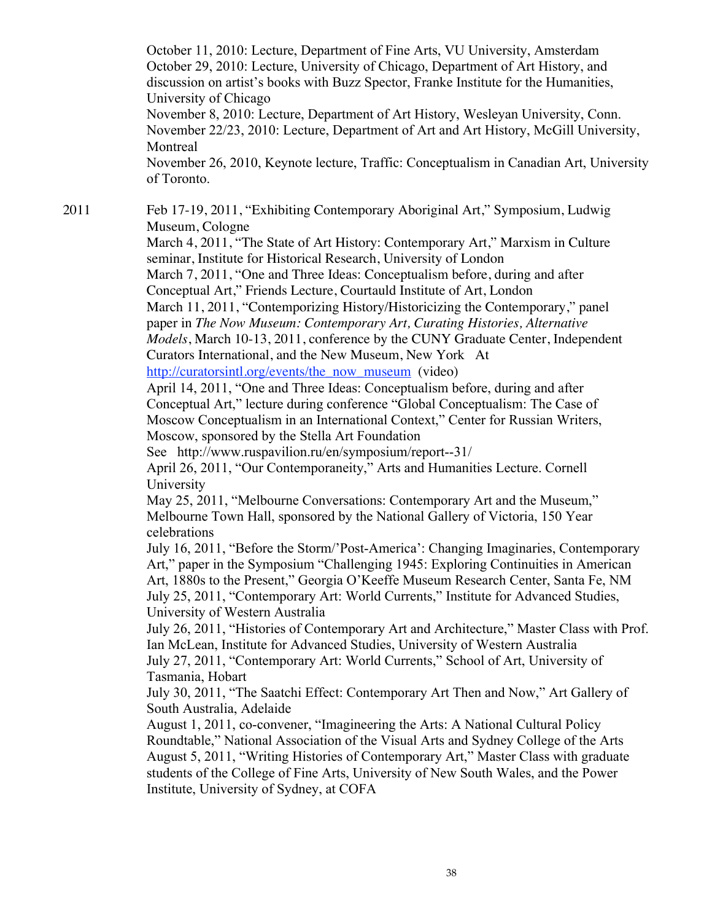October 11, 2010: Lecture, Department of Fine Arts, VU University, Amsterdam October 29, 2010: Lecture, University of Chicago, Department of Art History, and discussion on artist's books with Buzz Spector, Franke Institute for the Humanities, University of Chicago November 8, 2010: Lecture, Department of Art History, Wesleyan University, Conn. November 22/23, 2010: Lecture, Department of Art and Art History, McGill University, **Montreal** November 26, 2010, Keynote lecture, Traffic: Conceptualism in Canadian Art, University of Toronto.

2011 Feb 17-19, 2011, "Exhibiting Contemporary Aboriginal Art," Symposium, Ludwig Museum, Cologne

March 4, 2011, "The State of Art History: Contemporary Art," Marxism in Culture seminar, Institute for Historical Research, University of London

March 7, 2011, "One and Three Ideas: Conceptualism before, during and after Conceptual Art," Friends Lecture, Courtauld Institute of Art, London

March 11, 2011, "Contemporizing History/Historicizing the Contemporary," panel paper in *The Now Museum: Contemporary Art, Curating Histories, Alternative Models*, March 10-13, 2011, conference by the CUNY Graduate Center, Independent Curators International, and the New Museum, New York At

http://curatorsintl.org/events/the\_now\_museum (video)

April 14, 2011, "One and Three Ideas: Conceptualism before, during and after Conceptual Art," lecture during conference "Global Conceptualism: The Case of Moscow Conceptualism in an International Context," Center for Russian Writers, Moscow, sponsored by the Stella Art Foundation

See http://www.ruspavilion.ru/en/symposium/report--31/

April 26, 2011, "Our Contemporaneity," Arts and Humanities Lecture. Cornell University

May 25, 2011, "Melbourne Conversations: Contemporary Art and the Museum," Melbourne Town Hall, sponsored by the National Gallery of Victoria, 150 Year celebrations

July 16, 2011, "Before the Storm/'Post-America': Changing Imaginaries, Contemporary Art," paper in the Symposium "Challenging 1945: Exploring Continuities in American Art, 1880s to the Present," Georgia O'Keeffe Museum Research Center, Santa Fe, NM July 25, 2011, "Contemporary Art: World Currents," Institute for Advanced Studies, University of Western Australia

July 26, 2011, "Histories of Contemporary Art and Architecture," Master Class with Prof. Ian McLean, Institute for Advanced Studies, University of Western Australia July 27, 2011, "Contemporary Art: World Currents," School of Art, University of Tasmania, Hobart

July 30, 2011, "The Saatchi Effect: Contemporary Art Then and Now," Art Gallery of South Australia, Adelaide

August 1, 2011, co-convener, "Imagineering the Arts: A National Cultural Policy Roundtable," National Association of the Visual Arts and Sydney College of the Arts August 5, 2011, "Writing Histories of Contemporary Art," Master Class with graduate students of the College of Fine Arts, University of New South Wales, and the Power Institute, University of Sydney, at COFA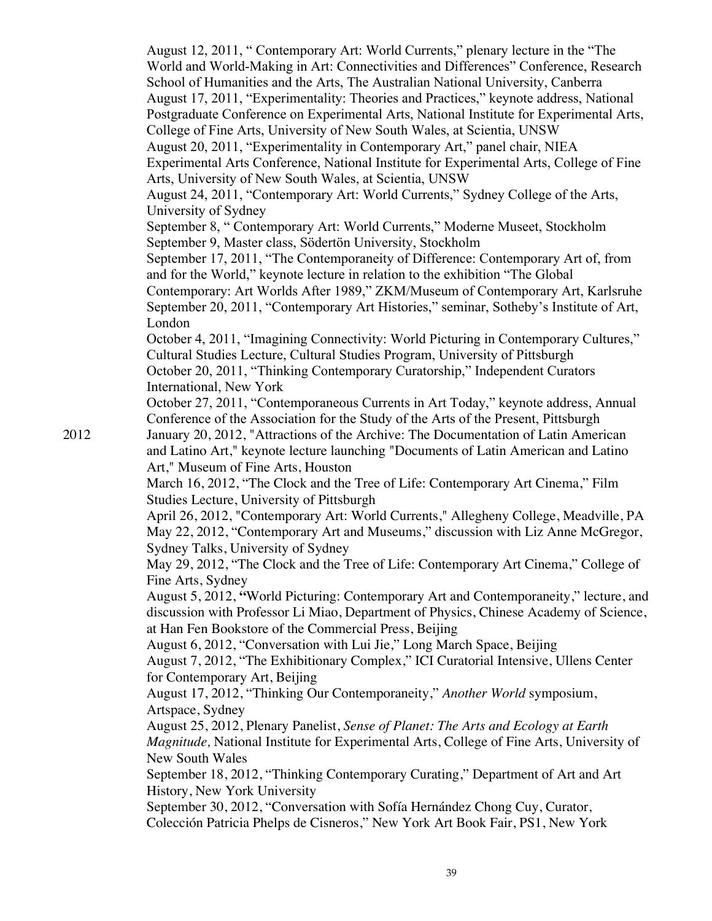August 12, 2011, " Contemporary Art: World Currents," plenary lecture in the "The World and World-Making in Art: Connectivities and Differences" Conference, Research School of Humanities and the Arts, The Australian National University, Canberra August 17, 2011, "Experimentality: Theories and Practices," keynote address, National Postgraduate Conference on Experimental Arts, National Institute for Experimental Arts, College of Fine Arts, University of New South Wales, at Scientia, UNSW August 20, 2011, "Experimentality in Contemporary Art," panel chair, NIEA Experimental Arts Conference, National Institute for Experimental Arts, College of Fine Arts, University of New South Wales, at Scientia, UNSW August 24, 2011, "Contemporary Art: World Currents," Sydney College of the Arts, University of Sydney September 8, " Contemporary Art: World Currents," Moderne Museet, Stockholm September 9, Master class, Södertön University, Stockholm September 17, 2011, "The Contemporaneity of Difference: Contemporary Art of, from and for the World," keynote lecture in relation to the exhibition "The Global Contemporary: Art Worlds After 1989," ZKM/Museum of Contemporary Art, Karlsruhe September 20, 2011, "Contemporary Art Histories," seminar, Sotheby's Institute of Art, London October 4, 2011, "Imagining Connectivity: World Picturing in Contemporary Cultures," Cultural Studies Lecture, Cultural Studies Program, University of Pittsburgh October 20, 2011, "Thinking Contemporary Curatorship," Independent Curators International, New York October 27, 2011, "Contemporaneous Currents in Art Today," keynote address, Annual Conference of the Association for the Study of the Arts of the Present, Pittsburgh 2012 January 20, 2012, "Attractions of the Archive: The Documentation of Latin American and Latino Art," keynote lecture launching "Documents of Latin American and Latino Art," Museum of Fine Arts, Houston March 16, 2012, "The Clock and the Tree of Life: Contemporary Art Cinema," Film Studies Lecture, University of Pittsburgh April 26, 2012, "Contemporary Art: World Currents," Allegheny College, Meadville, PA May 22, 2012, "Contemporary Art and Museums," discussion with Liz Anne McGregor, Sydney Talks, University of Sydney May 29, 2012, "The Clock and the Tree of Life: Contemporary Art Cinema," College of Fine Arts, Sydney August 5, 2012, **"**World Picturing: Contemporary Art and Contemporaneity," lecture, and discussion with Professor Li Miao, Department of Physics, Chinese Academy of Science, at Han Fen Bookstore of the Commercial Press, Beijing August 6, 2012, "Conversation with Lui Jie," Long March Space, Beijing August 7, 2012, "The Exhibitionary Complex," ICI Curatorial Intensive, Ullens Center for Contemporary Art, Beijing August 17, 2012, "Thinking Our Contemporaneity," *Another World* symposium, Artspace, Sydney August 25, 2012, Plenary Panelist, *Sense of Planet: The Arts and Ecology at Earth Magnitude,* National Institute for Experimental Arts, College of Fine Arts, University of New South Wales September 18, 2012, "Thinking Contemporary Curating," Department of Art and Art History, New York University September 30, 2012, "Conversation with Sofía Hernández Chong Cuy, Curator, Colección Patricia Phelps de Cisneros," New York Art Book Fair, PS1, New York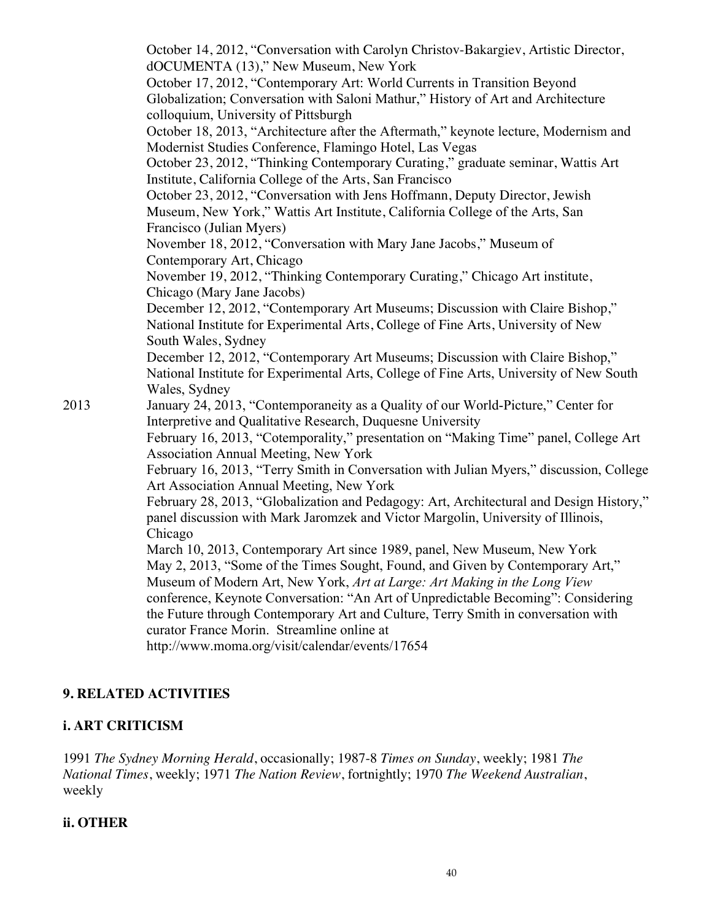October 14, 2012, "Conversation with Carolyn Christov-Bakargiev, Artistic Director, dOCUMENTA (13)," New Museum, New York October 17, 2012, "Contemporary Art: World Currents in Transition Beyond Globalization; Conversation with Saloni Mathur," History of Art and Architecture colloquium, University of Pittsburgh October 18, 2013, "Architecture after the Aftermath," keynote lecture, Modernism and Modernist Studies Conference, Flamingo Hotel, Las Vegas October 23, 2012, "Thinking Contemporary Curating," graduate seminar, Wattis Art Institute, California College of the Arts, San Francisco October 23, 2012, "Conversation with Jens Hoffmann, Deputy Director, Jewish Museum, New York," Wattis Art Institute, California College of the Arts, San Francisco (Julian Myers) November 18, 2012, "Conversation with Mary Jane Jacobs," Museum of Contemporary Art, Chicago November 19, 2012, "Thinking Contemporary Curating," Chicago Art institute, Chicago (Mary Jane Jacobs) December 12, 2012, "Contemporary Art Museums; Discussion with Claire Bishop," National Institute for Experimental Arts, College of Fine Arts, University of New South Wales, Sydney December 12, 2012, "Contemporary Art Museums; Discussion with Claire Bishop," National Institute for Experimental Arts, College of Fine Arts, University of New South Wales, Sydney 2013 January 24, 2013, "Contemporaneity as a Quality of our World-Picture," Center for Interpretive and Qualitative Research, Duquesne University February 16, 2013, "Cotemporality," presentation on "Making Time" panel, College Art Association Annual Meeting, New York February 16, 2013, "Terry Smith in Conversation with Julian Myers," discussion, College Art Association Annual Meeting, New York February 28, 2013, "Globalization and Pedagogy: Art, Architectural and Design History," panel discussion with Mark Jaromzek and Victor Margolin, University of Illinois, Chicago March 10, 2013, Contemporary Art since 1989, panel, New Museum, New York May 2, 2013, "Some of the Times Sought, Found, and Given by Contemporary Art," Museum of Modern Art, New York, *Art at Large: Art Making in the Long View* conference, Keynote Conversation: "An Art of Unpredictable Becoming": Considering the Future through Contemporary Art and Culture, Terry Smith in conversation with curator France Morin. Streamline online at http://www.moma.org/visit/calendar/events/17654

## **9. RELATED ACTIVITIES**

## **i. ART CRITICISM**

1991 *The Sydney Morning Herald*, occasionally; 1987-8 *Times on Sunday*, weekly; 1981 *The National Times*, weekly; 1971 *The Nation Review*, fortnightly; 1970 *The Weekend Australian*, weekly

## **ii. OTHER**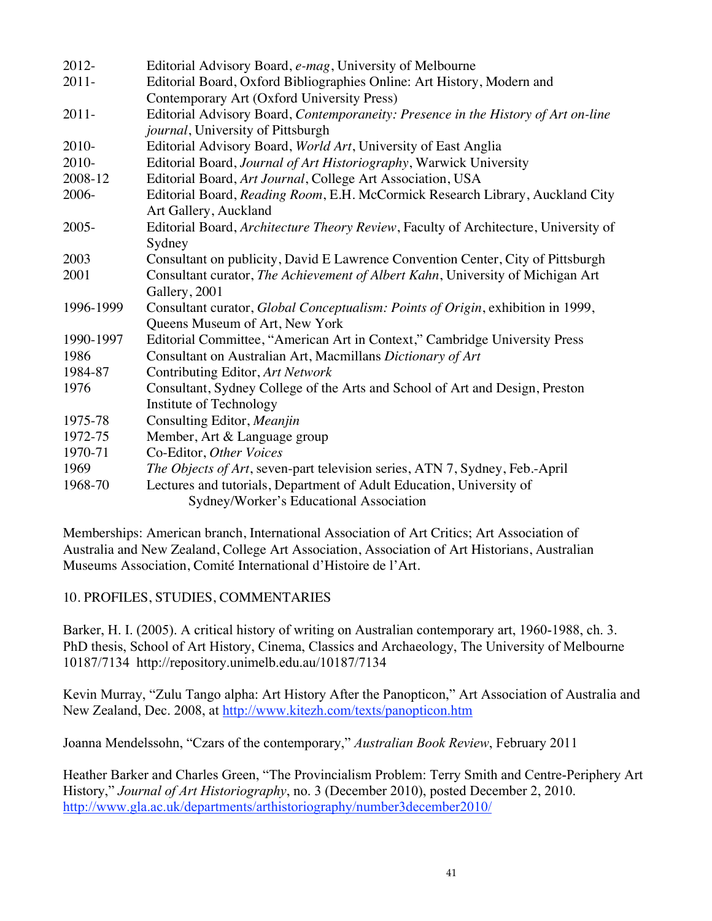| 2012-     | Editorial Advisory Board, e-mag, University of Melbourne                            |
|-----------|-------------------------------------------------------------------------------------|
| $2011 -$  | Editorial Board, Oxford Bibliographies Online: Art History, Modern and              |
|           | Contemporary Art (Oxford University Press)                                          |
| $2011 -$  | Editorial Advisory Board, Contemporaneity: Presence in the History of Art on-line   |
|           | journal, University of Pittsburgh                                                   |
| 2010-     | Editorial Advisory Board, World Art, University of East Anglia                      |
| 2010-     | Editorial Board, Journal of Art Historiography, Warwick University                  |
| 2008-12   | Editorial Board, Art Journal, College Art Association, USA                          |
| 2006-     | Editorial Board, Reading Room, E.H. McCormick Research Library, Auckland City       |
|           | Art Gallery, Auckland                                                               |
| $2005 -$  | Editorial Board, Architecture Theory Review, Faculty of Architecture, University of |
|           | Sydney                                                                              |
| 2003      | Consultant on publicity, David E Lawrence Convention Center, City of Pittsburgh     |
| 2001      | Consultant curator, The Achievement of Albert Kahn, University of Michigan Art      |
|           | Gallery, 2001                                                                       |
| 1996-1999 | Consultant curator, Global Conceptualism: Points of Origin, exhibition in 1999,     |
|           | Queens Museum of Art, New York                                                      |
| 1990-1997 | Editorial Committee, "American Art in Context," Cambridge University Press          |
| 1986      | Consultant on Australian Art, Macmillans Dictionary of Art                          |
| 1984-87   | Contributing Editor, Art Network                                                    |
| 1976      | Consultant, Sydney College of the Arts and School of Art and Design, Preston        |
|           | Institute of Technology                                                             |
| 1975-78   | Consulting Editor, Meanjin                                                          |
| 1972-75   | Member, Art & Language group                                                        |
| 1970-71   | Co-Editor, Other Voices                                                             |
| 1969      | The Objects of Art, seven-part television series, ATN 7, Sydney, Feb.-April         |
| 1968-70   | Lectures and tutorials, Department of Adult Education, University of                |
|           | Sydney/Worker's Educational Association                                             |

Memberships: American branch, International Association of Art Critics; Art Association of Australia and New Zealand, College Art Association, Association of Art Historians, Australian Museums Association, Comité International d'Histoire de l'Art.

## 10. PROFILES, STUDIES, COMMENTARIES

Barker, H. I. (2005). A critical history of writing on Australian contemporary art, 1960-1988, ch. 3. PhD thesis, School of Art History, Cinema, Classics and Archaeology, The University of Melbourne 10187/7134 http://repository.unimelb.edu.au/10187/7134

Kevin Murray, "Zulu Tango alpha: Art History After the Panopticon," Art Association of Australia and New Zealand, Dec. 2008, at http://www.kitezh.com/texts/panopticon.htm

Joanna Mendelssohn, "Czars of the contemporary," *Australian Book Review*, February 2011

Heather Barker and Charles Green, "The Provincialism Problem: Terry Smith and Centre-Periphery Art History," *Journal of Art Historiography*, no. 3 (December 2010), posted December 2, 2010. http://www.gla.ac.uk/departments/arthistoriography/number3december2010/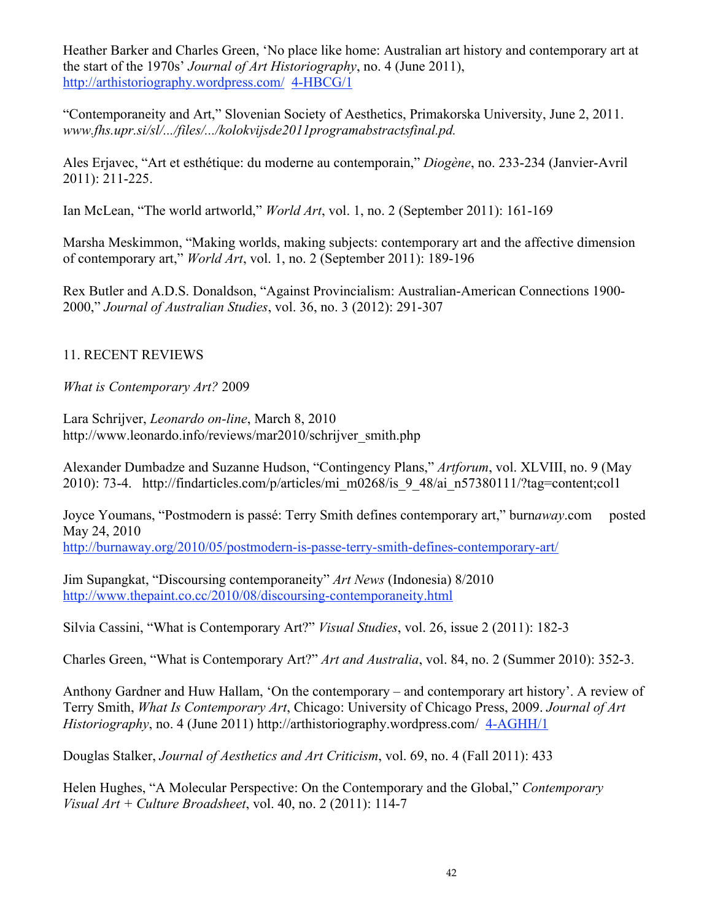Heather Barker and Charles Green, 'No place like home: Australian art history and contemporary art at the start of the 1970s' *Journal of Art Historiography*, no. 4 (June 2011), http://arthistoriography.wordpress.com/ 4-HBCG/1

"Contemporaneity and Art," Slovenian Society of Aesthetics, Primakorska University, June 2, 2011. *www.fhs.upr.si/sl/.../files/.../kolokvijsde2011programabstractsfinal.pd.*

Ales Erjavec, "Art et esthétique: du moderne au contemporain," *Diogène*, no. 233-234 (Janvier-Avril 2011): 211-225.

Ian McLean, "The world artworld," *World Art*, vol. 1, no. 2 (September 2011): 161-169

Marsha Meskimmon, "Making worlds, making subjects: contemporary art and the affective dimension of contemporary art," *World Art*, vol. 1, no. 2 (September 2011): 189-196

Rex Butler and A.D.S. Donaldson, "Against Provincialism: Australian-American Connections 1900- 2000," *Journal of Australian Studies*, vol. 36, no. 3 (2012): 291-307

## 11. RECENT REVIEWS

*What is Contemporary Art?* 2009

Lara Schrijver, *Leonardo on-line*, March 8, 2010 http://www.leonardo.info/reviews/mar2010/schrijver\_smith.php

Alexander Dumbadze and Suzanne Hudson, "Contingency Plans," *Artforum*, vol. XLVIII, no. 9 (May 2010): 73-4. http://findarticles.com/p/articles/mi\_m0268/is\_9\_48/ai\_n57380111/?tag=content;col1

Joyce Youmans, "Postmodern is passé: Terry Smith defines contemporary art," burn*away*.com posted May 24, 2010

http://burnaway.org/2010/05/postmodern-is-passe-terry-smith-defines-contemporary-art/

Jim Supangkat, "Discoursing contemporaneity" *Art News* (Indonesia) 8/2010 http://www.thepaint.co.cc/2010/08/discoursing-contemporaneity.html

Silvia Cassini, "What is Contemporary Art?" *Visual Studies*, vol. 26, issue 2 (2011): 182-3

Charles Green, "What is Contemporary Art?" *Art and Australia*, vol. 84, no. 2 (Summer 2010): 352-3.

Anthony Gardner and Huw Hallam, 'On the contemporary – and contemporary art history'. A review of Terry Smith, *What Is Contemporary Art*, Chicago: University of Chicago Press, 2009. *Journal of Art Historiography*, no. 4 (June 2011) http://arthistoriography.wordpress.com/ 4-AGHH/1

Douglas Stalker, *Journal of Aesthetics and Art Criticism*, vol. 69, no. 4 (Fall 2011): 433

Helen Hughes, "A Molecular Perspective: On the Contemporary and the Global," *Contemporary Visual Art + Culture Broadsheet*, vol. 40, no. 2 (2011): 114-7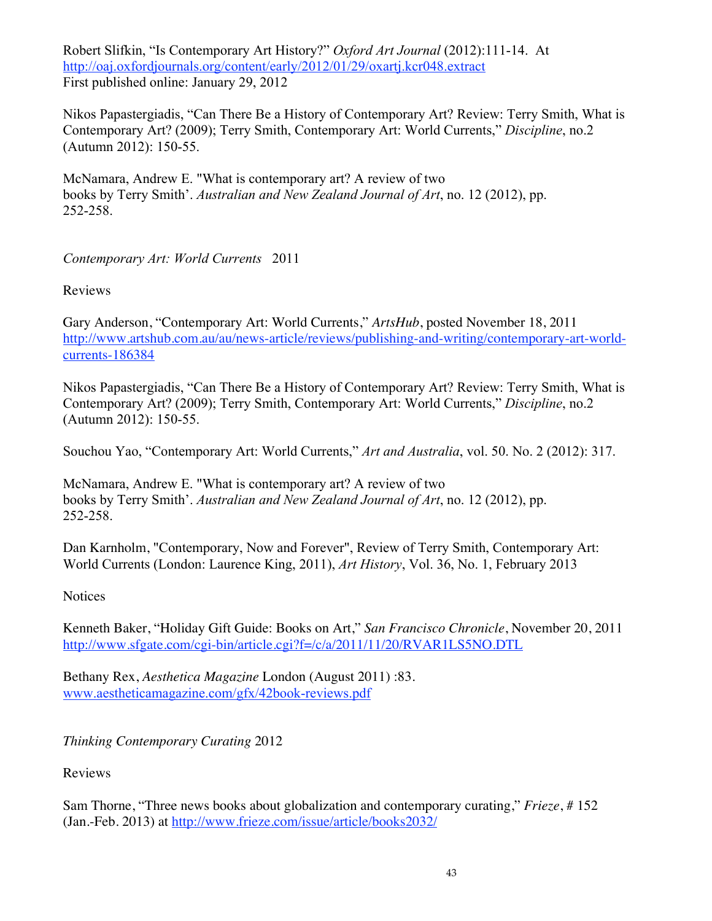Robert Slifkin, "Is Contemporary Art History?" *Oxford Art Journal* (2012):111-14. At http://oaj.oxfordjournals.org/content/early/2012/01/29/oxartj.kcr048.extract First published online: January 29, 2012

Nikos Papastergiadis, "Can There Be a History of Contemporary Art? Review: Terry Smith, What is Contemporary Art? (2009); Terry Smith, Contemporary Art: World Currents," *Discipline*, no.2 (Autumn 2012): 150-55.

McNamara, Andrew E. "What is contemporary art? A review of two books by Terry Smith'. *Australian and New Zealand Journal of Art*, no. 12 (2012), pp. 252-258.

## *Contemporary Art: World Currents* 2011

Reviews

Gary Anderson, "Contemporary Art: World Currents," *ArtsHub*, posted November 18, 2011 http://www.artshub.com.au/au/news-article/reviews/publishing-and-writing/contemporary-art-worldcurrents-186384

Nikos Papastergiadis, "Can There Be a History of Contemporary Art? Review: Terry Smith, What is Contemporary Art? (2009); Terry Smith, Contemporary Art: World Currents," *Discipline*, no.2 (Autumn 2012): 150-55.

Souchou Yao, "Contemporary Art: World Currents," *Art and Australia*, vol. 50. No. 2 (2012): 317.

McNamara, Andrew E. "What is contemporary art? A review of two books by Terry Smith'. *Australian and New Zealand Journal of Art*, no. 12 (2012), pp. 252-258.

Dan Karnholm, "Contemporary, Now and Forever", Review of Terry Smith, Contemporary Art: World Currents (London: Laurence King, 2011), *Art History*, Vol. 36, No. 1, February 2013

**Notices** 

Kenneth Baker, "Holiday Gift Guide: Books on Art," *San Francisco Chronicle*, November 20, 2011 http://www.sfgate.com/cgi-bin/article.cgi?f=/c/a/2011/11/20/RVAR1LS5NO.DTL

Bethany Rex, *Aesthetica Magazine* London (August 2011) :83. www.aestheticamagazine.com/gfx/42book-reviews.pdf

*Thinking Contemporary Curating* 2012

Reviews

Sam Thorne, "Three news books about globalization and contemporary curating," *Frieze*, # 152 (Jan.-Feb. 2013) at http://www.frieze.com/issue/article/books2032/